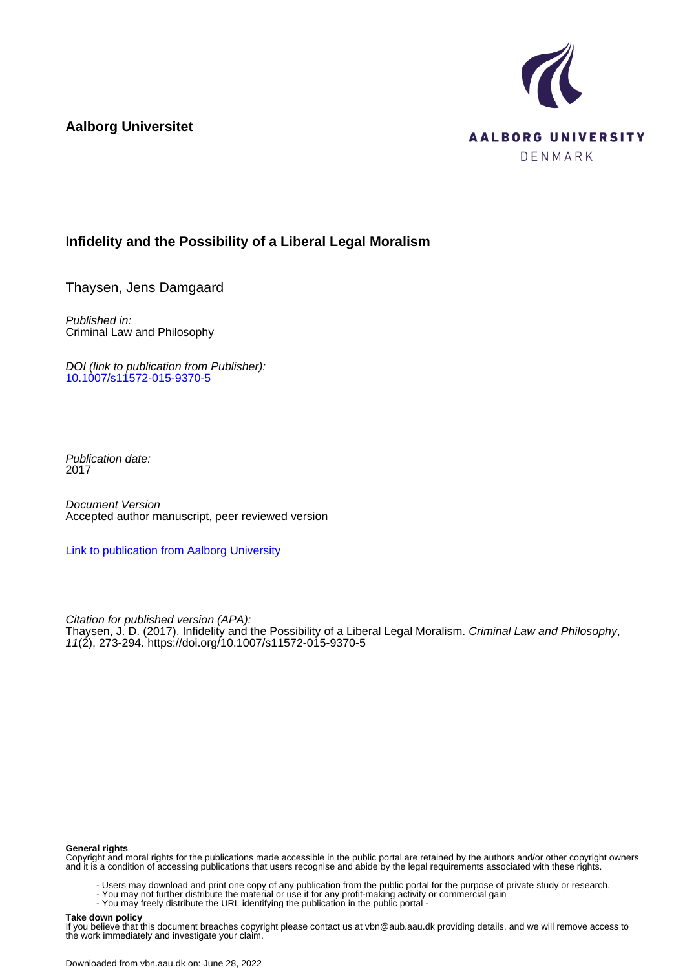**Aalborg Universitet**



# **Infidelity and the Possibility of a Liberal Legal Moralism**

Thaysen, Jens Damgaard

Published in: Criminal Law and Philosophy

DOI (link to publication from Publisher): [10.1007/s11572-015-9370-5](https://doi.org/10.1007/s11572-015-9370-5)

Publication date: 2017

Document Version Accepted author manuscript, peer reviewed version

[Link to publication from Aalborg University](https://vbn.aau.dk/en/publications/9d68298b-d379-48f1-8140-40127aa54843)

Citation for published version (APA): Thaysen, J. D. (2017). Infidelity and the Possibility of a Liberal Legal Moralism. Criminal Law and Philosophy, 11(2), 273-294.<https://doi.org/10.1007/s11572-015-9370-5>

#### **General rights**

Copyright and moral rights for the publications made accessible in the public portal are retained by the authors and/or other copyright owners and it is a condition of accessing publications that users recognise and abide by the legal requirements associated with these rights.

- Users may download and print one copy of any publication from the public portal for the purpose of private study or research.
- You may not further distribute the material or use it for any profit-making activity or commercial gain
- You may freely distribute the URL identifying the publication in the public portal -

#### **Take down policy**

If you believe that this document breaches copyright please contact us at vbn@aub.aau.dk providing details, and we will remove access to the work immediately and investigate your claim.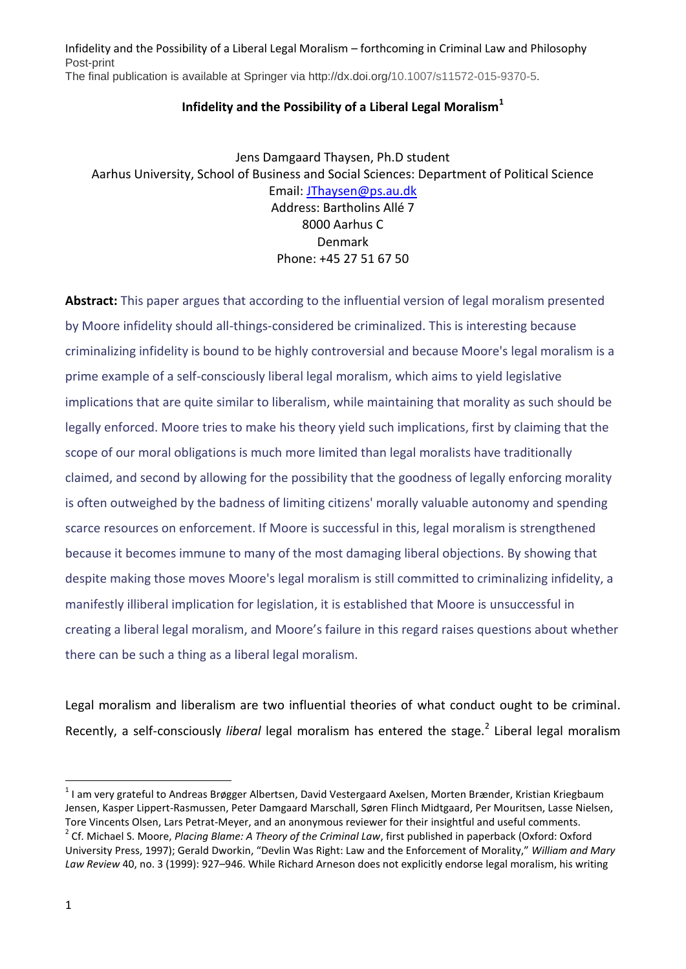# **Infidelity and the Possibility of a Liberal Legal Moralism<sup>1</sup>**

Jens Damgaard Thaysen, Ph.D student Aarhus University, School of Business and Social Sciences: Department of Political Science Email: [JThaysen@ps.au.dk](mailto:JThaysen@ps.au.dk) Address: Bartholins Allé 7 8000 Aarhus C Denmark Phone: +45 27 51 67 50

**Abstract:** This paper argues that according to the influential version of legal moralism presented by Moore infidelity should all-things-considered be criminalized. This is interesting because criminalizing infidelity is bound to be highly controversial and because Moore's legal moralism is a prime example of a self-consciously liberal legal moralism, which aims to yield legislative implications that are quite similar to liberalism, while maintaining that morality as such should be legally enforced. Moore tries to make his theory yield such implications, first by claiming that the scope of our moral obligations is much more limited than legal moralists have traditionally claimed, and second by allowing for the possibility that the goodness of legally enforcing morality is often outweighed by the badness of limiting citizens' morally valuable autonomy and spending scarce resources on enforcement. If Moore is successful in this, legal moralism is strengthened because it becomes immune to many of the most damaging liberal objections. By showing that despite making those moves Moore's legal moralism is still committed to criminalizing infidelity, a manifestly illiberal implication for legislation, it is established that Moore is unsuccessful in creating a liberal legal moralism, and Moore's failure in this regard raises questions about whether there can be such a thing as a liberal legal moralism.

Legal moralism and liberalism are two influential theories of what conduct ought to be criminal. Recently, a self-consciously *liberal* legal moralism has entered the stage.<sup>2</sup> Liberal legal moralism

<sup>&</sup>lt;sup>1</sup> I am very grateful to Andreas Brøgger Albertsen, David Vestergaard Axelsen, Morten Brænder, Kristian Kriegbaum Jensen, Kasper Lippert-Rasmussen, Peter Damgaard Marschall, Søren Flinch Midtgaard, Per Mouritsen, Lasse Nielsen, Tore Vincents Olsen, Lars Petrat-Meyer, and an anonymous reviewer for their insightful and useful comments. 2 Cf. Michael S. Moore, *Placing Blame: A Theory of the Criminal Law*, first published in paperback (Oxford: Oxford University Press, 1997); Gerald Dworkin, "Devlin Was Right: Law and the Enforcement of Morality," *William and Mary* 

*Law Review* 40, no. 3 (1999): 927–946. While Richard Arneson does not explicitly endorse legal moralism, his writing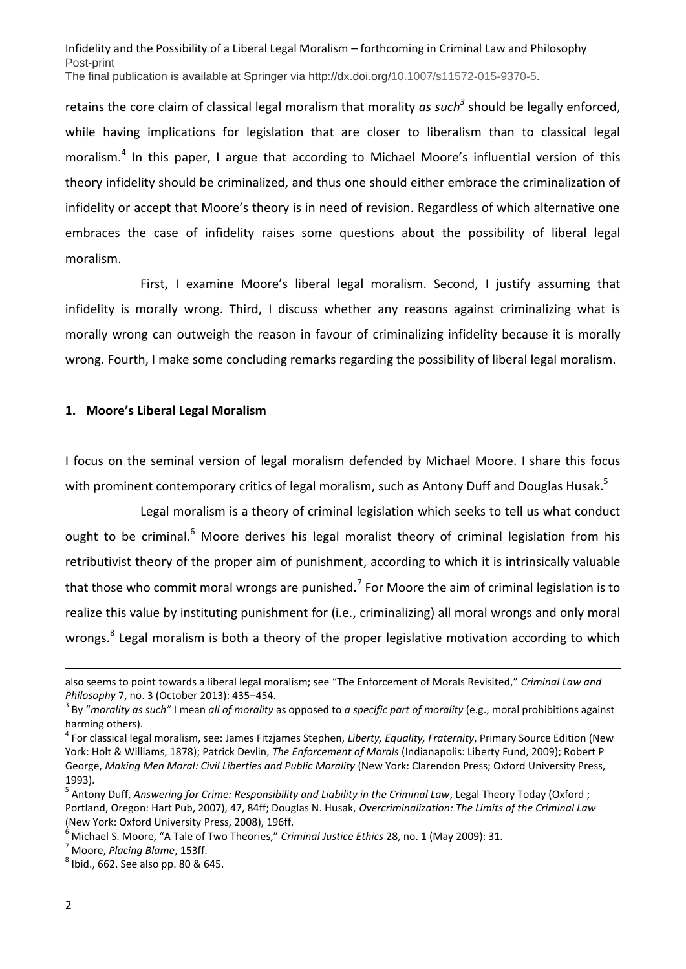retains the core claim of classical legal moralism that morality *as such<sup>3</sup>* should be legally enforced, while having implications for legislation that are closer to liberalism than to classical legal moralism.<sup>4</sup> In this paper, I argue that according to Michael Moore's influential version of this theory infidelity should be criminalized, and thus one should either embrace the criminalization of infidelity or accept that Moore's theory is in need of revision. Regardless of which alternative one embraces the case of infidelity raises some questions about the possibility of liberal legal moralism.

First, I examine Moore's liberal legal moralism. Second, I justify assuming that infidelity is morally wrong. Third, I discuss whether any reasons against criminalizing what is morally wrong can outweigh the reason in favour of criminalizing infidelity because it is morally wrong. Fourth, I make some concluding remarks regarding the possibility of liberal legal moralism.

## **1. Moore's Liberal Legal Moralism**

I focus on the seminal version of legal moralism defended by Michael Moore. I share this focus with prominent contemporary critics of legal moralism, such as Antony Duff and Douglas Husak.<sup>5</sup>

Legal moralism is a theory of criminal legislation which seeks to tell us what conduct ought to be criminal.<sup>6</sup> Moore derives his legal moralist theory of criminal legislation from his retributivist theory of the proper aim of punishment, according to which it is intrinsically valuable that those who commit moral wrongs are punished.<sup>7</sup> For Moore the aim of criminal legislation is to realize this value by instituting punishment for (i.e., criminalizing) all moral wrongs and only moral wrongs.<sup>8</sup> Legal moralism is both a theory of the proper legislative motivation according to which

also seems to point towards a liberal legal moralism; see "The Enforcement of Morals Revisited," *Criminal Law and Philosophy* 7, no. 3 (October 2013): 435–454.

<sup>3</sup> By "*morality as such"* I mean *all of morality* as opposed to *a specific part of morality* (e.g., moral prohibitions against harming others).

<sup>4</sup> For classical legal moralism, see: James Fitzjames Stephen, *Liberty, Equality, Fraternity*, Primary Source Edition (New York: Holt & Williams, 1878); Patrick Devlin, *The Enforcement of Morals* (Indianapolis: Liberty Fund, 2009); Robert P George, *Making Men Moral: Civil Liberties and Public Morality* (New York: Clarendon Press; Oxford University Press, 1993).

<sup>5</sup> Antony Duff, *Answering for Crime: Responsibility and Liability in the Criminal Law*, Legal Theory Today (Oxford ; Portland, Oregon: Hart Pub, 2007), 47, 84ff; Douglas N. Husak, *Overcriminalization: The Limits of the Criminal Law* (New York: Oxford University Press, 2008), 196ff.

<sup>6</sup> Michael S. Moore, "A Tale of Two Theories," *Criminal Justice Ethics* 28, no. 1 (May 2009): 31.

<sup>7</sup> Moore, *Placing Blame*, 153ff.

 $8$  Ibid., 662. See also pp. 80 & 645.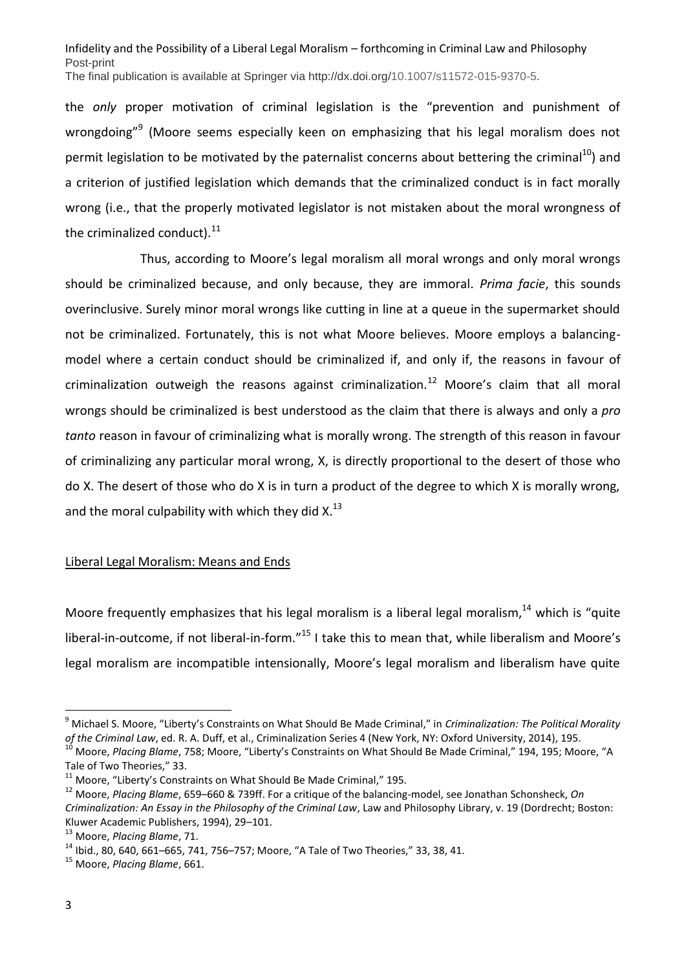the *only* proper motivation of criminal legislation is the "prevention and punishment of wrongdoing"<sup>9</sup> (Moore seems especially keen on emphasizing that his legal moralism does not permit legislation to be motivated by the paternalist concerns about bettering the criminal<sup>10</sup>) and a criterion of justified legislation which demands that the criminalized conduct is in fact morally wrong (i.e., that the properly motivated legislator is not mistaken about the moral wrongness of the criminalized conduct). $^{11}$ 

Thus, according to Moore's legal moralism all moral wrongs and only moral wrongs should be criminalized because, and only because, they are immoral. *Prima facie*, this sounds overinclusive. Surely minor moral wrongs like cutting in line at a queue in the supermarket should not be criminalized. Fortunately, this is not what Moore believes. Moore employs a balancingmodel where a certain conduct should be criminalized if, and only if, the reasons in favour of criminalization outweigh the reasons against criminalization.<sup>12</sup> Moore's claim that all moral wrongs should be criminalized is best understood as the claim that there is always and only a *pro tanto* reason in favour of criminalizing what is morally wrong. The strength of this reason in favour of criminalizing any particular moral wrong, X, is directly proportional to the desert of those who do X. The desert of those who do X is in turn a product of the degree to which X is morally wrong, and the moral culpability with which they did  $X<sup>13</sup>$ 

## Liberal Legal Moralism: Means and Ends

Moore frequently emphasizes that his legal moralism is a liberal legal moralism,<sup>14</sup> which is "quite liberal-in-outcome, if not liberal-in-form."<sup>15</sup> I take this to mean that, while liberalism and Moore's legal moralism are incompatible intensionally, Moore's legal moralism and liberalism have quite

<sup>9</sup> Michael S. Moore, "Liberty's Constraints on What Should Be Made Criminal," in *Criminalization: The Political Morality of the Criminal Law*, ed. R. A. Duff, et al., Criminalization Series 4 (New York, NY: Oxford University, 2014), 195.

<sup>10</sup> Moore, *Placing Blame*, 758; Moore, "Liberty's Constraints on What Should Be Made Criminal," 194, 195; Moore, "A Tale of Two Theories," 33.

 $11$  Moore, "Liberty's Constraints on What Should Be Made Criminal," 195.

<sup>12</sup> Moore, *Placing Blame*, 659–660 & 739ff. For a critique of the balancing-model, see Jonathan Schonsheck, *On Criminalization: An Essay in the Philosophy of the Criminal Law*, Law and Philosophy Library, v. 19 (Dordrecht; Boston: Kluwer Academic Publishers, 1994), 29–101.

<sup>13</sup> Moore, *Placing Blame*, 71.

<sup>14</sup> Ibid., 80, 640, 661–665, 741, 756–757; Moore, "A Tale of Two Theories," 33, 38, 41.

<sup>15</sup> Moore, *Placing Blame*, 661.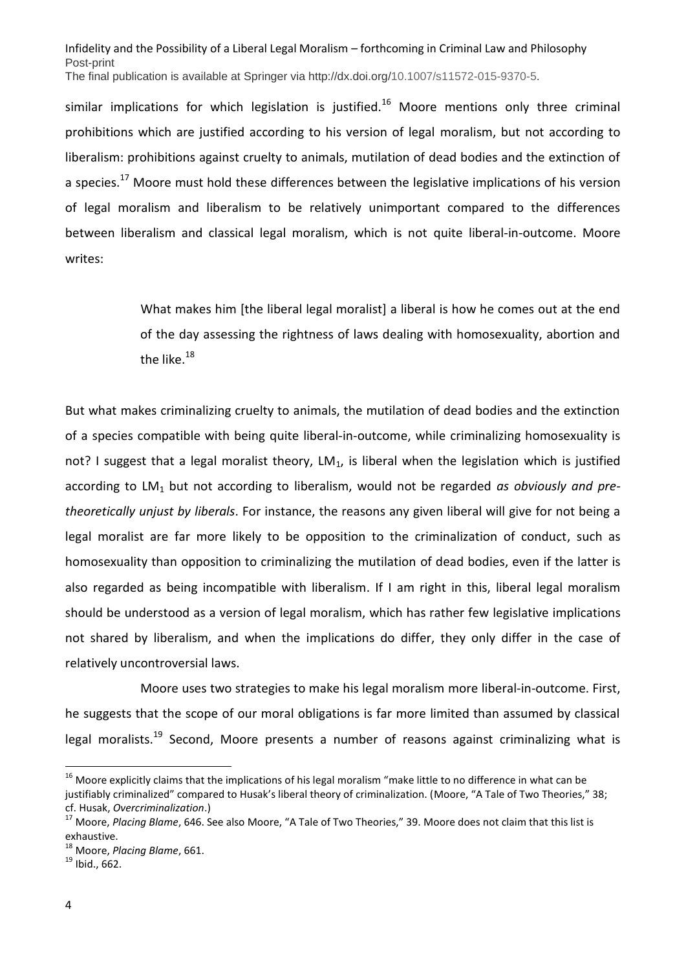similar implications for which legislation is justified.<sup>16</sup> Moore mentions only three criminal prohibitions which are justified according to his version of legal moralism, but not according to liberalism: prohibitions against cruelty to animals, mutilation of dead bodies and the extinction of a species.<sup>17</sup> Moore must hold these differences between the legislative implications of his version of legal moralism and liberalism to be relatively unimportant compared to the differences between liberalism and classical legal moralism, which is not quite liberal-in-outcome. Moore writes:

> What makes him [the liberal legal moralist] a liberal is how he comes out at the end of the day assessing the rightness of laws dealing with homosexuality, abortion and the like. $18$

But what makes criminalizing cruelty to animals, the mutilation of dead bodies and the extinction of a species compatible with being quite liberal-in-outcome, while criminalizing homosexuality is not? I suggest that a legal moralist theory,  $LM_1$ , is liberal when the legislation which is justified according to LM<sub>1</sub> but not according to liberalism, would not be regarded *as obviously and pretheoretically unjust by liberals*. For instance, the reasons any given liberal will give for not being a legal moralist are far more likely to be opposition to the criminalization of conduct, such as homosexuality than opposition to criminalizing the mutilation of dead bodies, even if the latter is also regarded as being incompatible with liberalism. If I am right in this, liberal legal moralism should be understood as a version of legal moralism, which has rather few legislative implications not shared by liberalism, and when the implications do differ, they only differ in the case of relatively uncontroversial laws.

Moore uses two strategies to make his legal moralism more liberal-in-outcome. First, he suggests that the scope of our moral obligations is far more limited than assumed by classical legal moralists.<sup>19</sup> Second, Moore presents a number of reasons against criminalizing what is

 $16$  Moore explicitly claims that the implications of his legal moralism "make little to no difference in what can be justifiably criminalized" compared to Husak's liberal theory of criminalization. (Moore, "A Tale of Two Theories," 38; cf. Husak, *Overcriminalization*.)

<sup>17</sup> Moore, *Placing Blame*, 646. See also Moore, "A Tale of Two Theories," 39. Moore does not claim that this list is exhaustive.

<sup>18</sup> Moore, *Placing Blame*, 661.

 $19$  Ibid., 662.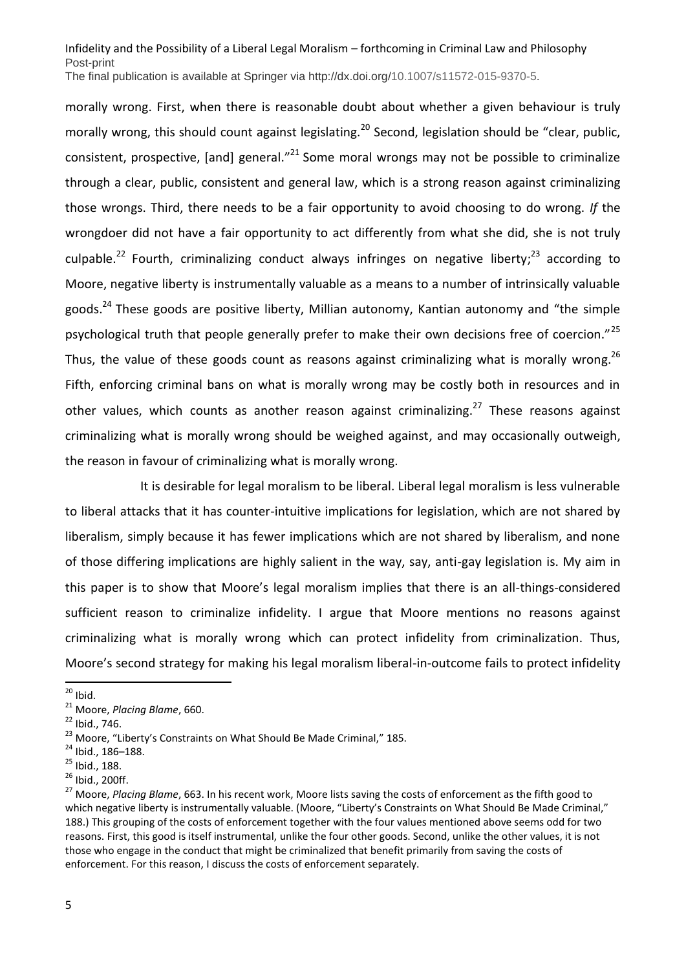morally wrong. First, when there is reasonable doubt about whether a given behaviour is truly morally wrong, this should count against legislating.<sup>20</sup> Second, legislation should be "clear, public, consistent, prospective, [and] general."<sup>21</sup> Some moral wrongs may not be possible to criminalize through a clear, public, consistent and general law, which is a strong reason against criminalizing those wrongs. Third, there needs to be a fair opportunity to avoid choosing to do wrong. *If* the wrongdoer did not have a fair opportunity to act differently from what she did, she is not truly culpable.<sup>22</sup> Fourth, criminalizing conduct always infringes on negative liberty;<sup>23</sup> according to Moore, negative liberty is instrumentally valuable as a means to a number of intrinsically valuable goods.<sup>24</sup> These goods are positive liberty, Millian autonomy, Kantian autonomy and "the simple psychological truth that people generally prefer to make their own decisions free of coercion."<sup>25</sup> Thus, the value of these goods count as reasons against criminalizing what is morally wrong.<sup>26</sup> Fifth, enforcing criminal bans on what is morally wrong may be costly both in resources and in other values, which counts as another reason against criminalizing.<sup>27</sup> These reasons against criminalizing what is morally wrong should be weighed against, and may occasionally outweigh, the reason in favour of criminalizing what is morally wrong.

It is desirable for legal moralism to be liberal. Liberal legal moralism is less vulnerable to liberal attacks that it has counter-intuitive implications for legislation, which are not shared by liberalism, simply because it has fewer implications which are not shared by liberalism, and none of those differing implications are highly salient in the way, say, anti-gay legislation is. My aim in this paper is to show that Moore's legal moralism implies that there is an all-things-considered sufficient reason to criminalize infidelity. I argue that Moore mentions no reasons against criminalizing what is morally wrong which can protect infidelity from criminalization. Thus, Moore's second strategy for making his legal moralism liberal-in-outcome fails to protect infidelity

 $20$  Ibid.

<sup>21</sup> Moore, *Placing Blame*, 660.

 $22$  Ibid., 746.

<sup>&</sup>lt;sup>23</sup> Moore, "Liberty's Constraints on What Should Be Made Criminal," 185.

<sup>&</sup>lt;sup>24</sup> Ibid., 186-188.

<sup>25</sup> Ibid., 188.

<sup>26</sup> Ibid., 200ff.

<sup>27</sup> Moore, *Placing Blame*, 663. In his recent work, Moore lists saving the costs of enforcement as the fifth good to which negative liberty is instrumentally valuable. (Moore, "Liberty's Constraints on What Should Be Made Criminal," 188.) This grouping of the costs of enforcement together with the four values mentioned above seems odd for two reasons. First, this good is itself instrumental, unlike the four other goods. Second, unlike the other values, it is not those who engage in the conduct that might be criminalized that benefit primarily from saving the costs of enforcement. For this reason, I discuss the costs of enforcement separately.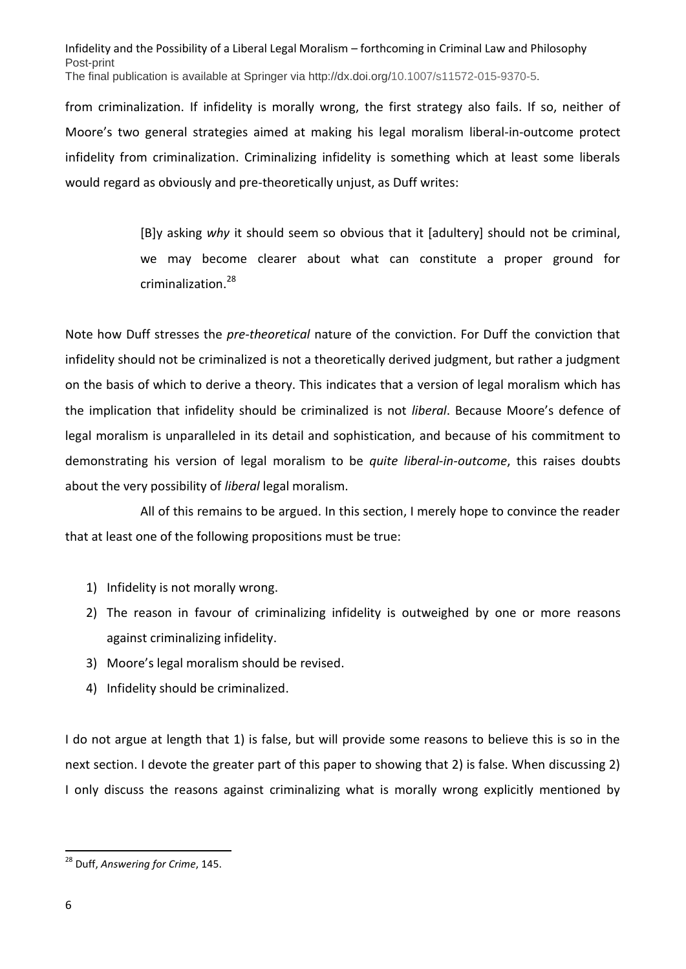from criminalization. If infidelity is morally wrong, the first strategy also fails. If so, neither of Moore's two general strategies aimed at making his legal moralism liberal-in-outcome protect infidelity from criminalization. Criminalizing infidelity is something which at least some liberals would regard as obviously and pre-theoretically unjust, as Duff writes:

> [B]y asking *why* it should seem so obvious that it [adultery] should not be criminal, we may become clearer about what can constitute a proper ground for criminalization.<sup>28</sup>

Note how Duff stresses the *pre-theoretical* nature of the conviction. For Duff the conviction that infidelity should not be criminalized is not a theoretically derived judgment, but rather a judgment on the basis of which to derive a theory. This indicates that a version of legal moralism which has the implication that infidelity should be criminalized is not *liberal*. Because Moore's defence of legal moralism is unparalleled in its detail and sophistication, and because of his commitment to demonstrating his version of legal moralism to be *quite liberal-in-outcome*, this raises doubts about the very possibility of *liberal* legal moralism.

All of this remains to be argued. In this section, I merely hope to convince the reader that at least one of the following propositions must be true:

- 1) Infidelity is not morally wrong.
- 2) The reason in favour of criminalizing infidelity is outweighed by one or more reasons against criminalizing infidelity.
- 3) Moore's legal moralism should be revised.
- 4) Infidelity should be criminalized.

I do not argue at length that 1) is false, but will provide some reasons to believe this is so in the next section. I devote the greater part of this paper to showing that 2) is false. When discussing 2) I only discuss the reasons against criminalizing what is morally wrong explicitly mentioned by

**<sup>.</sup>** <sup>28</sup> Duff, *Answering for Crime*, 145.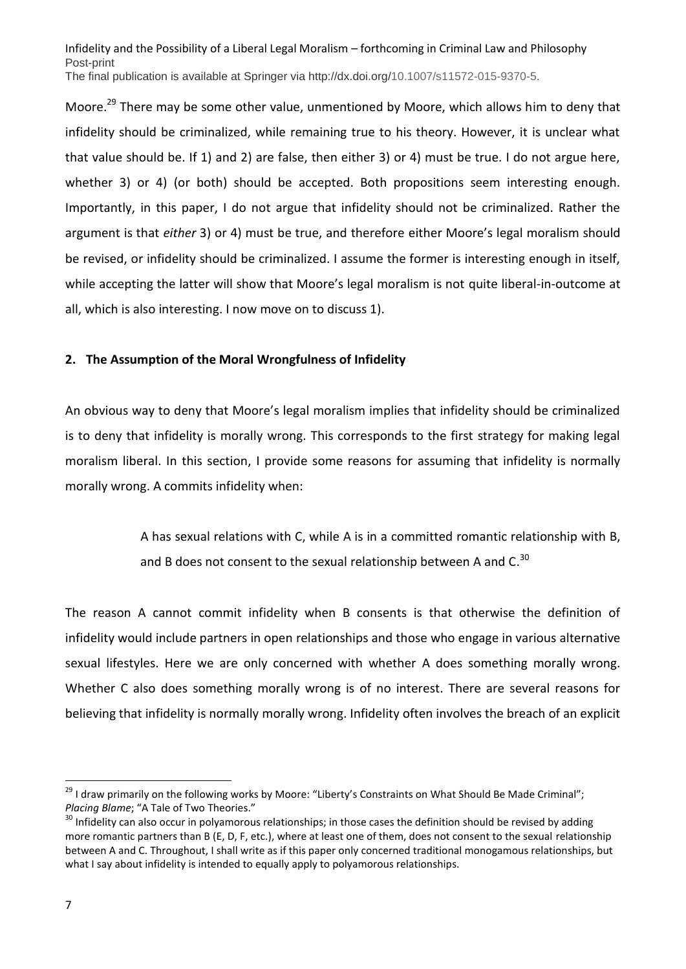Moore.<sup>29</sup> There may be some other value, unmentioned by Moore, which allows him to deny that infidelity should be criminalized, while remaining true to his theory. However, it is unclear what that value should be. If 1) and 2) are false, then either 3) or 4) must be true. I do not argue here, whether 3) or 4) (or both) should be accepted. Both propositions seem interesting enough. Importantly, in this paper, I do not argue that infidelity should not be criminalized. Rather the argument is that *either* 3) or 4) must be true, and therefore either Moore's legal moralism should be revised, or infidelity should be criminalized. I assume the former is interesting enough in itself, while accepting the latter will show that Moore's legal moralism is not quite liberal-in-outcome at all, which is also interesting. I now move on to discuss 1).

# **2. The Assumption of the Moral Wrongfulness of Infidelity**

An obvious way to deny that Moore's legal moralism implies that infidelity should be criminalized is to deny that infidelity is morally wrong. This corresponds to the first strategy for making legal moralism liberal. In this section, I provide some reasons for assuming that infidelity is normally morally wrong. A commits infidelity when:

> A has sexual relations with C, while A is in a committed romantic relationship with B, and B does not consent to the sexual relationship between A and C. $^{30}$

The reason A cannot commit infidelity when B consents is that otherwise the definition of infidelity would include partners in open relationships and those who engage in various alternative sexual lifestyles. Here we are only concerned with whether A does something morally wrong. Whether C also does something morally wrong is of no interest. There are several reasons for believing that infidelity is normally morally wrong. Infidelity often involves the breach of an explicit

<sup>&</sup>lt;sup>29</sup> I draw primarily on the following works by Moore: "Liberty's Constraints on What Should Be Made Criminal"; *Placing Blame*; "A Tale of Two Theories."

 $30$  Infidelity can also occur in polyamorous relationships; in those cases the definition should be revised by adding more romantic partners than B (E, D, F, etc.), where at least one of them, does not consent to the sexual relationship between A and C. Throughout, I shall write as if this paper only concerned traditional monogamous relationships, but what I say about infidelity is intended to equally apply to polyamorous relationships.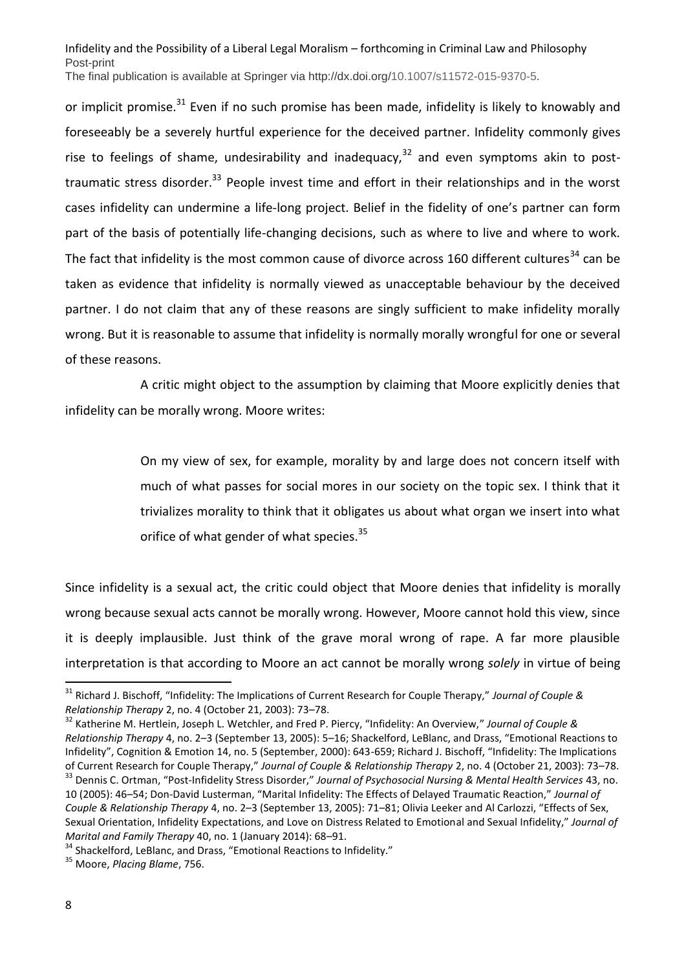or implicit promise.<sup>31</sup> Even if no such promise has been made, infidelity is likely to knowably and foreseeably be a severely hurtful experience for the deceived partner. Infidelity commonly gives rise to feelings of shame, undesirability and inadequacy,<sup>32</sup> and even symptoms akin to posttraumatic stress disorder.<sup>33</sup> People invest time and effort in their relationships and in the worst cases infidelity can undermine a life-long project. Belief in the fidelity of one's partner can form part of the basis of potentially life-changing decisions, such as where to live and where to work. The fact that infidelity is the most common cause of divorce across 160 different cultures<sup>34</sup> can be taken as evidence that infidelity is normally viewed as unacceptable behaviour by the deceived partner. I do not claim that any of these reasons are singly sufficient to make infidelity morally wrong. But it is reasonable to assume that infidelity is normally morally wrongful for one or several of these reasons.

A critic might object to the assumption by claiming that Moore explicitly denies that infidelity can be morally wrong. Moore writes:

> On my view of sex, for example, morality by and large does not concern itself with much of what passes for social mores in our society on the topic sex. I think that it trivializes morality to think that it obligates us about what organ we insert into what orifice of what gender of what species.<sup>35</sup>

Since infidelity is a sexual act, the critic could object that Moore denies that infidelity is morally wrong because sexual acts cannot be morally wrong. However, Moore cannot hold this view, since it is deeply implausible. Just think of the grave moral wrong of rape. A far more plausible interpretation is that according to Moore an act cannot be morally wrong *solely* in virtue of being

<sup>31</sup> Richard J. Bischoff, "Infidelity: The Implications of Current Research for Couple Therapy," *Journal of Couple & Relationship Therapy* 2, no. 4 (October 21, 2003): 73–78.

<sup>32</sup> Katherine M. Hertlein, Joseph L. Wetchler, and Fred P. Piercy, "Infidelity: An Overview," *Journal of Couple & Relationship Therapy* 4, no. 2–3 (September 13, 2005): 5–16; Shackelford, LeBlanc, and Drass, "Emotional Reactions to Infidelity", Cognition & Emotion 14, no. 5 (September, 2000): 643-659; Richard J. Bischoff, "Infidelity: The Implications of Current Research for Couple Therapy," *Journal of Couple & Relationship Therapy* 2, no. 4 (October 21, 2003): 73–78. <sup>33</sup> Dennis C. Ortman, "Post-Infidelity Stress Disorder," *Journal of Psychosocial Nursing & Mental Health Services* 43, no. 10 (2005): 46–54; Don-David Lusterman, "Marital Infidelity: The Effects of Delayed Traumatic Reaction," *Journal of Couple & Relationship Therapy* 4, no. 2–3 (September 13, 2005): 71–81; Olivia Leeker and Al Carlozzi, "Effects of Sex, Sexual Orientation, Infidelity Expectations, and Love on Distress Related to Emotional and Sexual Infidelity," *Journal of Marital and Family Therapy* 40, no. 1 (January 2014): 68–91.

<sup>&</sup>lt;sup>34</sup> Shackelford, LeBlanc, and Drass, "Emotional Reactions to Infidelity."

<sup>35</sup> Moore, *Placing Blame*, 756.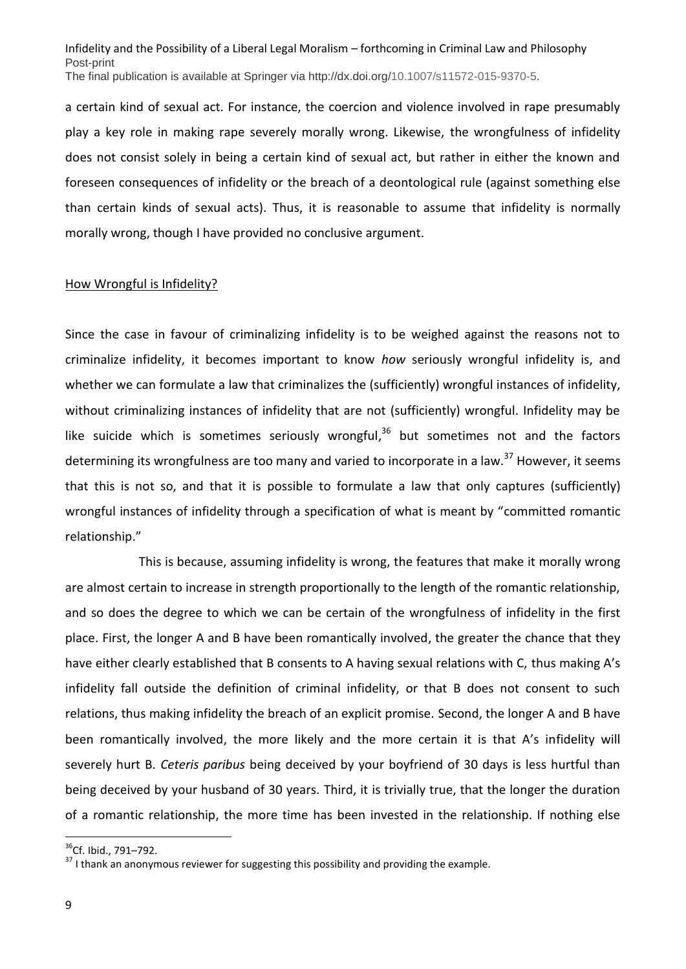a certain kind of sexual act. For instance, the coercion and violence involved in rape presumably play a key role in making rape severely morally wrong. Likewise, the wrongfulness of infidelity does not consist solely in being a certain kind of sexual act, but rather in either the known and foreseen consequences of infidelity or the breach of a deontological rule (against something else than certain kinds of sexual acts). Thus, it is reasonable to assume that infidelity is normally morally wrong, though I have provided no conclusive argument.

### How Wrongful is Infidelity?

Since the case in favour of criminalizing infidelity is to be weighed against the reasons not to criminalize infidelity, it becomes important to know *how* seriously wrongful infidelity is, and whether we can formulate a law that criminalizes the (sufficiently) wrongful instances of infidelity, without criminalizing instances of infidelity that are not (sufficiently) wrongful. Infidelity may be like suicide which is sometimes seriously wrongful,<sup>36</sup> but sometimes not and the factors determining its wrongfulness are too many and varied to incorporate in a law.<sup>37</sup> However, it seems that this is not so, and that it is possible to formulate a law that only captures (sufficiently) wrongful instances of infidelity through a specification of what is meant by "committed romantic relationship."

This is because, assuming infidelity is wrong, the features that make it morally wrong are almost certain to increase in strength proportionally to the length of the romantic relationship, and so does the degree to which we can be certain of the wrongfulness of infidelity in the first place. First, the longer A and B have been romantically involved, the greater the chance that they have either clearly established that B consents to A having sexual relations with C, thus making A's infidelity fall outside the definition of criminal infidelity, or that B does not consent to such relations, thus making infidelity the breach of an explicit promise. Second, the longer A and B have been romantically involved, the more likely and the more certain it is that A's infidelity will severely hurt B. *Ceteris paribus* being deceived by your boyfriend of 30 days is less hurtful than being deceived by your husband of 30 years. Third, it is trivially true, that the longer the duration of a romantic relationship, the more time has been invested in the relationship. If nothing else

 $\overline{a}$ 

<sup>&</sup>lt;sup>36</sup>Cf. Ibid., 791-792.

 $37$  I thank an anonymous reviewer for suggesting this possibility and providing the example.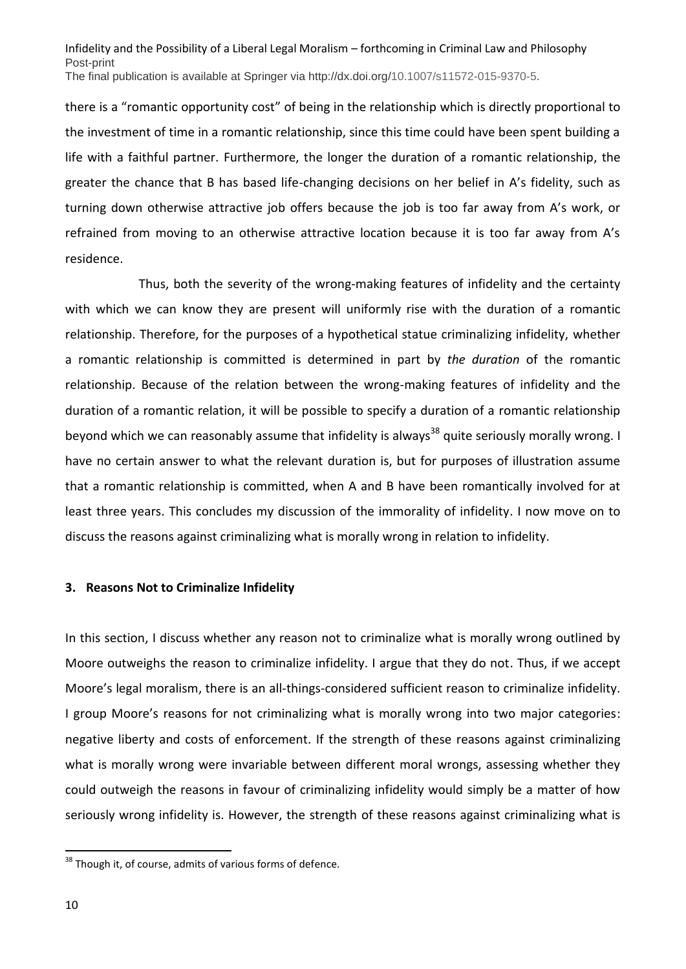there is a "romantic opportunity cost" of being in the relationship which is directly proportional to the investment of time in a romantic relationship, since this time could have been spent building a life with a faithful partner. Furthermore, the longer the duration of a romantic relationship, the greater the chance that B has based life-changing decisions on her belief in A's fidelity, such as turning down otherwise attractive job offers because the job is too far away from A's work, or refrained from moving to an otherwise attractive location because it is too far away from A's residence.

Thus, both the severity of the wrong-making features of infidelity and the certainty with which we can know they are present will uniformly rise with the duration of a romantic relationship. Therefore, for the purposes of a hypothetical statue criminalizing infidelity, whether a romantic relationship is committed is determined in part by *the duration* of the romantic relationship. Because of the relation between the wrong-making features of infidelity and the duration of a romantic relation, it will be possible to specify a duration of a romantic relationship beyond which we can reasonably assume that infidelity is always<sup>38</sup> quite seriously morally wrong. I have no certain answer to what the relevant duration is, but for purposes of illustration assume that a romantic relationship is committed, when A and B have been romantically involved for at least three years. This concludes my discussion of the immorality of infidelity. I now move on to discuss the reasons against criminalizing what is morally wrong in relation to infidelity.

### **3. Reasons Not to Criminalize Infidelity**

In this section, I discuss whether any reason not to criminalize what is morally wrong outlined by Moore outweighs the reason to criminalize infidelity. I argue that they do not. Thus, if we accept Moore's legal moralism, there is an all-things-considered sufficient reason to criminalize infidelity. I group Moore's reasons for not criminalizing what is morally wrong into two major categories: negative liberty and costs of enforcement. If the strength of these reasons against criminalizing what is morally wrong were invariable between different moral wrongs, assessing whether they could outweigh the reasons in favour of criminalizing infidelity would simply be a matter of how seriously wrong infidelity is. However, the strength of these reasons against criminalizing what is

<sup>&</sup>lt;sup>38</sup> Though it, of course, admits of various forms of defence.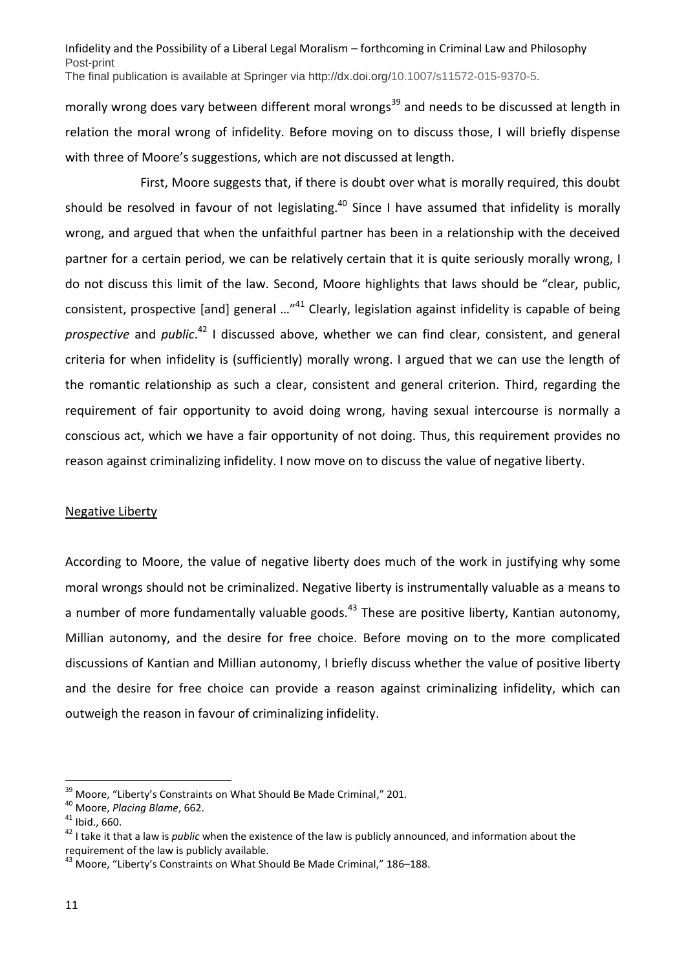morally wrong does vary between different moral wrongs<sup>39</sup> and needs to be discussed at length in relation the moral wrong of infidelity. Before moving on to discuss those, I will briefly dispense with three of Moore's suggestions, which are not discussed at length.

First, Moore suggests that, if there is doubt over what is morally required, this doubt should be resolved in favour of not legislating.<sup>40</sup> Since I have assumed that infidelity is morally wrong, and argued that when the unfaithful partner has been in a relationship with the deceived partner for a certain period, we can be relatively certain that it is quite seriously morally wrong, I do not discuss this limit of the law. Second, Moore highlights that laws should be "clear, public, consistent, prospective [and] general ..."<sup>41</sup> Clearly, legislation against infidelity is capable of being *prospective* and *public*. <sup>42</sup> I discussed above, whether we can find clear, consistent, and general criteria for when infidelity is (sufficiently) morally wrong. I argued that we can use the length of the romantic relationship as such a clear, consistent and general criterion. Third, regarding the requirement of fair opportunity to avoid doing wrong, having sexual intercourse is normally a conscious act, which we have a fair opportunity of not doing. Thus, this requirement provides no reason against criminalizing infidelity. I now move on to discuss the value of negative liberty.

### Negative Liberty

According to Moore, the value of negative liberty does much of the work in justifying why some moral wrongs should not be criminalized. Negative liberty is instrumentally valuable as a means to a number of more fundamentally valuable goods.<sup>43</sup> These are positive liberty, Kantian autonomy, Millian autonomy, and the desire for free choice. Before moving on to the more complicated discussions of Kantian and Millian autonomy, I briefly discuss whether the value of positive liberty and the desire for free choice can provide a reason against criminalizing infidelity, which can outweigh the reason in favour of criminalizing infidelity.

 $39$  Moore, "Liberty's Constraints on What Should Be Made Criminal," 201.

<sup>40</sup> Moore, *Placing Blame*, 662.

<sup>41</sup> Ibid., 660.

<sup>42</sup> I take it that a law is *public* when the existence of the law is publicly announced, and information about the requirement of the law is publicly available.

<sup>&</sup>lt;sup>43</sup> Moore, "Liberty's Constraints on What Should Be Made Criminal," 186–188.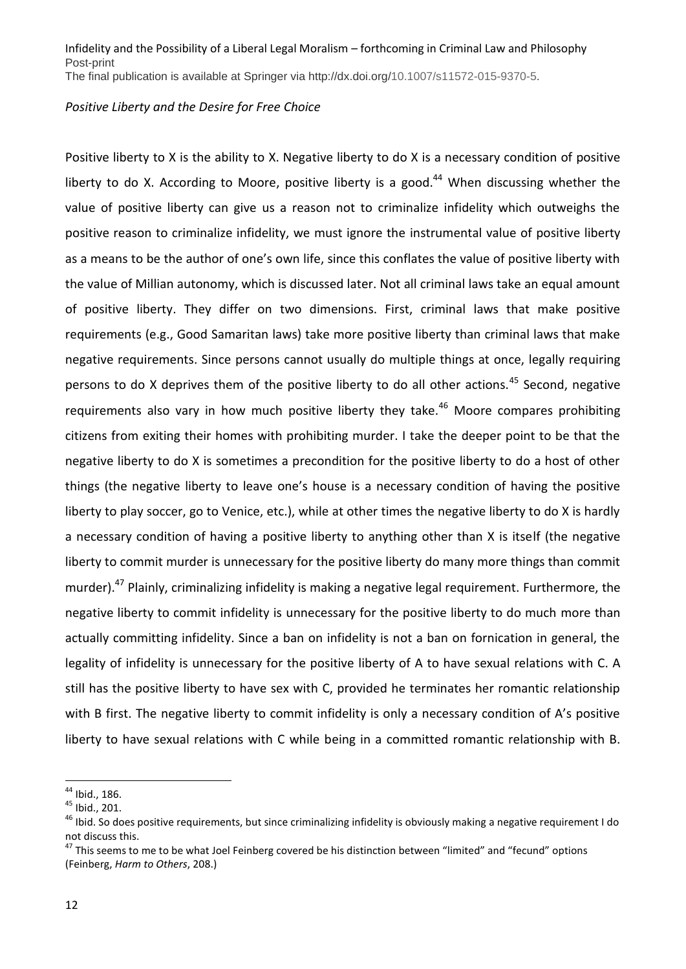## *Positive Liberty and the Desire for Free Choice*

Positive liberty to X is the ability to X. Negative liberty to do X is a necessary condition of positive liberty to do X. According to Moore, positive liberty is a good.<sup>44</sup> When discussing whether the value of positive liberty can give us a reason not to criminalize infidelity which outweighs the positive reason to criminalize infidelity, we must ignore the instrumental value of positive liberty as a means to be the author of one's own life, since this conflates the value of positive liberty with the value of Millian autonomy, which is discussed later. Not all criminal laws take an equal amount of positive liberty. They differ on two dimensions. First, criminal laws that make positive requirements (e.g., Good Samaritan laws) take more positive liberty than criminal laws that make negative requirements. Since persons cannot usually do multiple things at once, legally requiring persons to do X deprives them of the positive liberty to do all other actions.<sup>45</sup> Second, negative requirements also vary in how much positive liberty they take.<sup>46</sup> Moore compares prohibiting citizens from exiting their homes with prohibiting murder. I take the deeper point to be that the negative liberty to do X is sometimes a precondition for the positive liberty to do a host of other things (the negative liberty to leave one's house is a necessary condition of having the positive liberty to play soccer, go to Venice, etc.), while at other times the negative liberty to do X is hardly a necessary condition of having a positive liberty to anything other than X is itself (the negative liberty to commit murder is unnecessary for the positive liberty do many more things than commit murder).<sup>47</sup> Plainly, criminalizing infidelity is making a negative legal requirement. Furthermore, the negative liberty to commit infidelity is unnecessary for the positive liberty to do much more than actually committing infidelity. Since a ban on infidelity is not a ban on fornication in general, the legality of infidelity is unnecessary for the positive liberty of A to have sexual relations with C. A still has the positive liberty to have sex with C, provided he terminates her romantic relationship with B first. The negative liberty to commit infidelity is only a necessary condition of A's positive liberty to have sexual relations with C while being in a committed romantic relationship with B.

<sup>1</sup> <sup>44</sup> Ibid., 186.

<sup>45</sup> Ibid., 201.

<sup>&</sup>lt;sup>46</sup> Ibid. So does positive requirements, but since criminalizing infidelity is obviously making a negative requirement I do not discuss this.

 $47$  This seems to me to be what Joel Feinberg covered be his distinction between "limited" and "fecund" options (Feinberg, *Harm to Others*, 208.)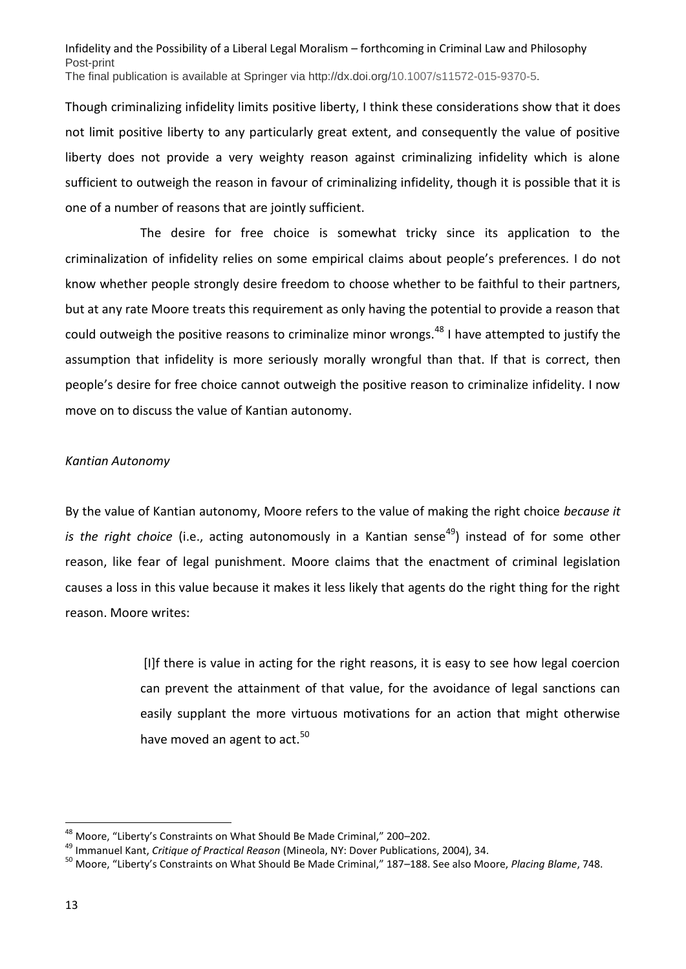Though criminalizing infidelity limits positive liberty, I think these considerations show that it does not limit positive liberty to any particularly great extent, and consequently the value of positive liberty does not provide a very weighty reason against criminalizing infidelity which is alone sufficient to outweigh the reason in favour of criminalizing infidelity, though it is possible that it is one of a number of reasons that are jointly sufficient.

The desire for free choice is somewhat tricky since its application to the criminalization of infidelity relies on some empirical claims about people's preferences. I do not know whether people strongly desire freedom to choose whether to be faithful to their partners, but at any rate Moore treats this requirement as only having the potential to provide a reason that could outweigh the positive reasons to criminalize minor wrongs.<sup>48</sup> I have attempted to justify the assumption that infidelity is more seriously morally wrongful than that. If that is correct, then people's desire for free choice cannot outweigh the positive reason to criminalize infidelity. I now move on to discuss the value of Kantian autonomy.

# *Kantian Autonomy*

By the value of Kantian autonomy, Moore refers to the value of making the right choice *because it is the right choice* (i.e., acting autonomously in a Kantian sense<sup>49</sup>) instead of for some other reason, like fear of legal punishment. Moore claims that the enactment of criminal legislation causes a loss in this value because it makes it less likely that agents do the right thing for the right reason. Moore writes:

> [I]f there is value in acting for the right reasons, it is easy to see how legal coercion can prevent the attainment of that value, for the avoidance of legal sanctions can easily supplant the more virtuous motivations for an action that might otherwise have moved an agent to act. $50$

<sup>48</sup> Moore, "Liberty's Constraints on What Should Be Made Criminal," 200–202.

<sup>49</sup> Immanuel Kant, *Critique of Practical Reason* (Mineola, NY: Dover Publications, 2004), 34.

<sup>50</sup> Moore, "Liberty's Constraints on What Should Be Made Criminal," 187–188. See also Moore, *Placing Blame*, 748.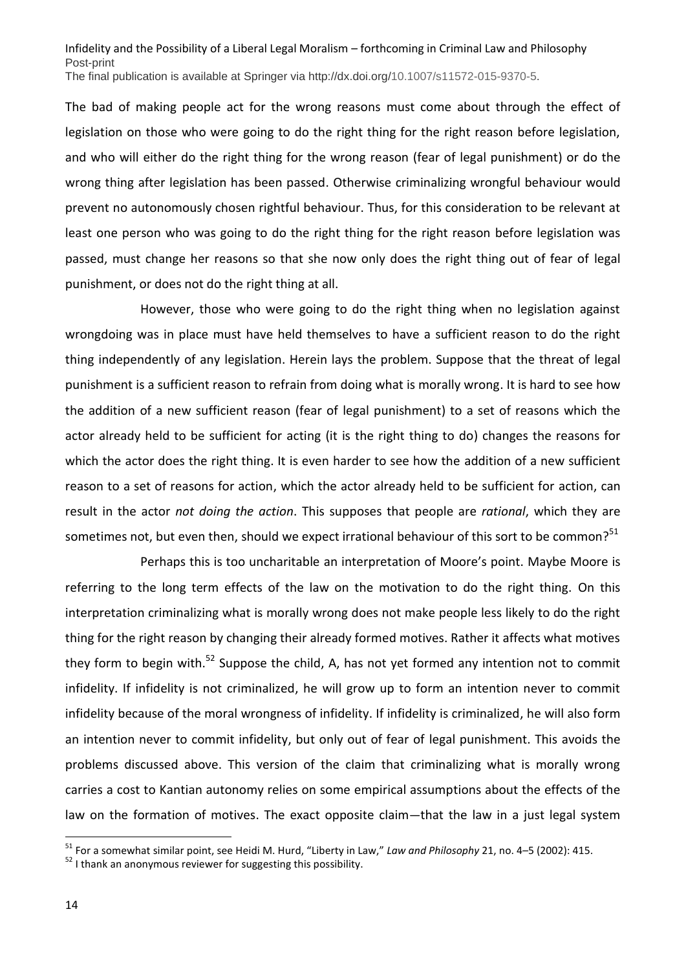The bad of making people act for the wrong reasons must come about through the effect of legislation on those who were going to do the right thing for the right reason before legislation, and who will either do the right thing for the wrong reason (fear of legal punishment) or do the wrong thing after legislation has been passed. Otherwise criminalizing wrongful behaviour would prevent no autonomously chosen rightful behaviour. Thus, for this consideration to be relevant at least one person who was going to do the right thing for the right reason before legislation was passed, must change her reasons so that she now only does the right thing out of fear of legal punishment, or does not do the right thing at all.

However, those who were going to do the right thing when no legislation against wrongdoing was in place must have held themselves to have a sufficient reason to do the right thing independently of any legislation. Herein lays the problem. Suppose that the threat of legal punishment is a sufficient reason to refrain from doing what is morally wrong. It is hard to see how the addition of a new sufficient reason (fear of legal punishment) to a set of reasons which the actor already held to be sufficient for acting (it is the right thing to do) changes the reasons for which the actor does the right thing. It is even harder to see how the addition of a new sufficient reason to a set of reasons for action, which the actor already held to be sufficient for action, can result in the actor *not doing the action*. This supposes that people are *rational*, which they are sometimes not, but even then, should we expect irrational behaviour of this sort to be common?<sup>51</sup>

Perhaps this is too uncharitable an interpretation of Moore's point. Maybe Moore is referring to the long term effects of the law on the motivation to do the right thing. On this interpretation criminalizing what is morally wrong does not make people less likely to do the right thing for the right reason by changing their already formed motives. Rather it affects what motives they form to begin with.<sup>52</sup> Suppose the child, A, has not yet formed any intention not to commit infidelity. If infidelity is not criminalized, he will grow up to form an intention never to commit infidelity because of the moral wrongness of infidelity. If infidelity is criminalized, he will also form an intention never to commit infidelity, but only out of fear of legal punishment. This avoids the problems discussed above. This version of the claim that criminalizing what is morally wrong carries a cost to Kantian autonomy relies on some empirical assumptions about the effects of the law on the formation of motives. The exact opposite claim—that the law in a just legal system

 $\overline{a}$ 

<sup>51</sup> For a somewhat similar point, see Heidi M. Hurd, "Liberty in Law," *Law and Philosophy* 21, no. 4–5 (2002): 415.

 $52$  I thank an anonymous reviewer for suggesting this possibility.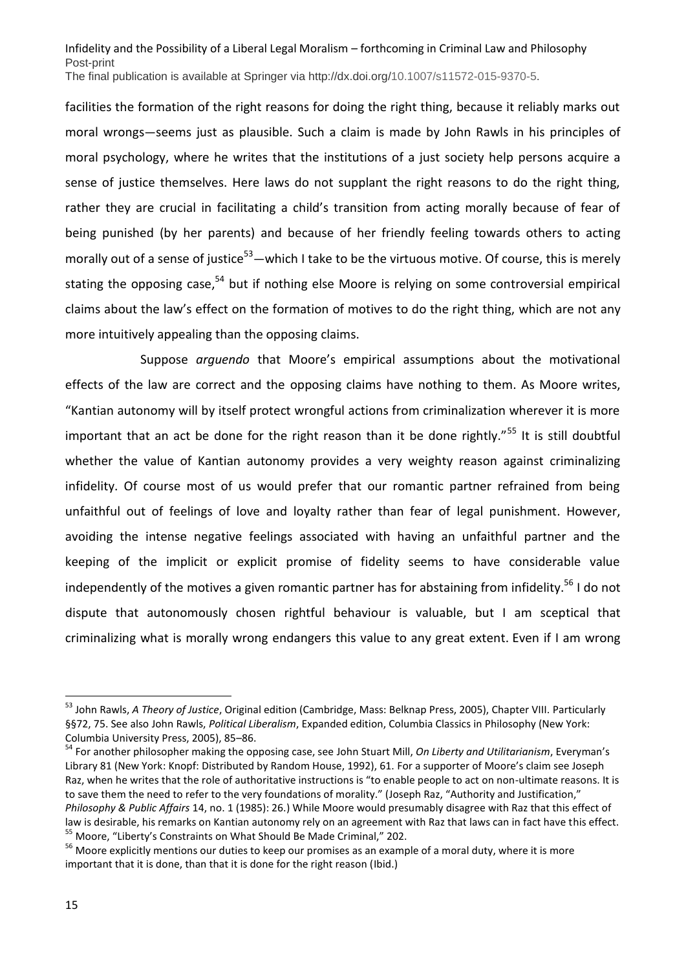facilities the formation of the right reasons for doing the right thing, because it reliably marks out moral wrongs—seems just as plausible. Such a claim is made by John Rawls in his principles of moral psychology, where he writes that the institutions of a just society help persons acquire a sense of justice themselves. Here laws do not supplant the right reasons to do the right thing, rather they are crucial in facilitating a child's transition from acting morally because of fear of being punished (by her parents) and because of her friendly feeling towards others to acting morally out of a sense of justice<sup>53</sup>—which I take to be the virtuous motive. Of course, this is merely stating the opposing case,<sup>54</sup> but if nothing else Moore is relying on some controversial empirical claims about the law's effect on the formation of motives to do the right thing, which are not any more intuitively appealing than the opposing claims.

Suppose *arguendo* that Moore's empirical assumptions about the motivational effects of the law are correct and the opposing claims have nothing to them. As Moore writes, "Kantian autonomy will by itself protect wrongful actions from criminalization wherever it is more important that an act be done for the right reason than it be done rightly."<sup>55</sup> It is still doubtful whether the value of Kantian autonomy provides a very weighty reason against criminalizing infidelity. Of course most of us would prefer that our romantic partner refrained from being unfaithful out of feelings of love and loyalty rather than fear of legal punishment. However, avoiding the intense negative feelings associated with having an unfaithful partner and the keeping of the implicit or explicit promise of fidelity seems to have considerable value independently of the motives a given romantic partner has for abstaining from infidelity.<sup>56</sup> I do not dispute that autonomously chosen rightful behaviour is valuable, but I am sceptical that criminalizing what is morally wrong endangers this value to any great extent. Even if I am wrong

<sup>53</sup> John Rawls, *A Theory of Justice*, Original edition (Cambridge, Mass: Belknap Press, 2005), Chapter VIII. Particularly §§72, 75. See also John Rawls, *Political Liberalism*, Expanded edition, Columbia Classics in Philosophy (New York: Columbia University Press, 2005), 85–86.

<sup>54</sup> For another philosopher making the opposing case, see John Stuart Mill, *On Liberty and Utilitarianism*, Everyman's Library 81 (New York: Knopf: Distributed by Random House, 1992), 61. For a supporter of Moore's claim see Joseph Raz, when he writes that the role of authoritative instructions is "to enable people to act on non-ultimate reasons. It is to save them the need to refer to the very foundations of morality." (Joseph Raz, "Authority and Justification," *Philosophy & Public Affairs* 14, no. 1 (1985): 26.) While Moore would presumably disagree with Raz that this effect of law is desirable, his remarks on Kantian autonomy rely on an agreement with Raz that laws can in fact have this effect. <sup>55</sup> Moore, "Liberty's Constraints on What Should Be Made Criminal," 202.

<sup>&</sup>lt;sup>56</sup> Moore explicitly mentions our duties to keep our promises as an example of a moral duty, where it is more important that it is done, than that it is done for the right reason (Ibid.)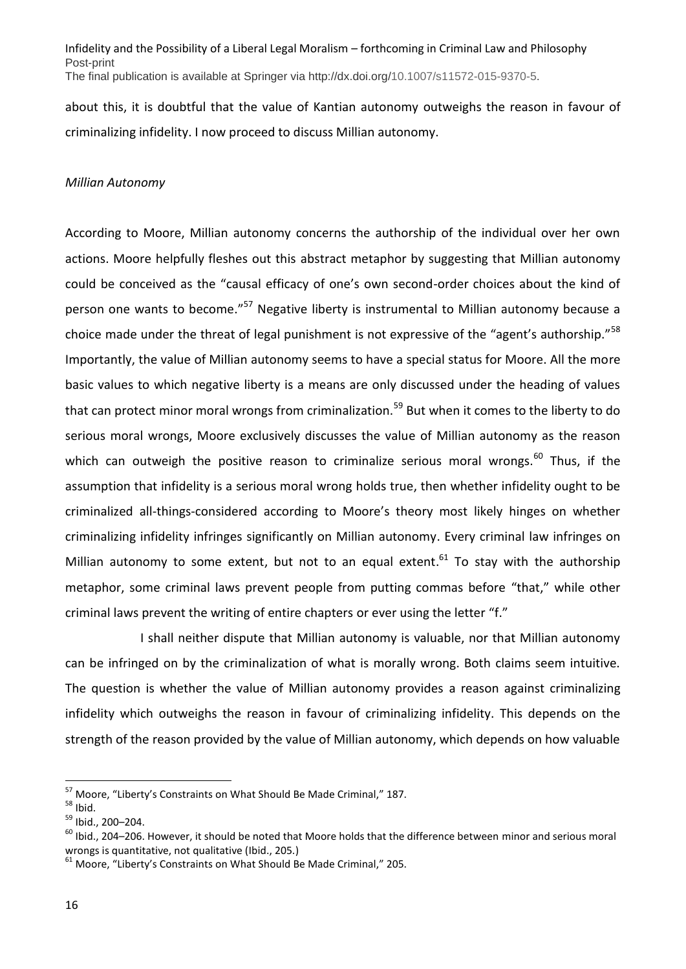about this, it is doubtful that the value of Kantian autonomy outweighs the reason in favour of criminalizing infidelity. I now proceed to discuss Millian autonomy.

## *Millian Autonomy*

According to Moore, Millian autonomy concerns the authorship of the individual over her own actions. Moore helpfully fleshes out this abstract metaphor by suggesting that Millian autonomy could be conceived as the "causal efficacy of one's own second-order choices about the kind of person one wants to become."<sup>57</sup> Negative liberty is instrumental to Millian autonomy because a choice made under the threat of legal punishment is not expressive of the "agent's authorship."<sup>58</sup> Importantly, the value of Millian autonomy seems to have a special status for Moore. All the more basic values to which negative liberty is a means are only discussed under the heading of values that can protect minor moral wrongs from criminalization.<sup>59</sup> But when it comes to the liberty to do serious moral wrongs, Moore exclusively discusses the value of Millian autonomy as the reason which can outweigh the positive reason to criminalize serious moral wrongs.<sup>60</sup> Thus, if the assumption that infidelity is a serious moral wrong holds true, then whether infidelity ought to be criminalized all-things-considered according to Moore's theory most likely hinges on whether criminalizing infidelity infringes significantly on Millian autonomy. Every criminal law infringes on Millian autonomy to some extent, but not to an equal extent.<sup>61</sup> To stay with the authorship metaphor, some criminal laws prevent people from putting commas before "that," while other criminal laws prevent the writing of entire chapters or ever using the letter "f."

I shall neither dispute that Millian autonomy is valuable, nor that Millian autonomy can be infringed on by the criminalization of what is morally wrong. Both claims seem intuitive. The question is whether the value of Millian autonomy provides a reason against criminalizing infidelity which outweighs the reason in favour of criminalizing infidelity. This depends on the strength of the reason provided by the value of Millian autonomy, which depends on how valuable

<sup>&</sup>lt;sup>57</sup> Moore, "Liberty's Constraints on What Should Be Made Criminal," 187.

<sup>58</sup> Ibid.

<sup>59</sup> Ibid., 200–204.

 $^{60}$  Ibid., 204–206. However, it should be noted that Moore holds that the difference between minor and serious moral wrongs is quantitative, not qualitative (Ibid., 205.)

 $61$  Moore, "Liberty's Constraints on What Should Be Made Criminal," 205.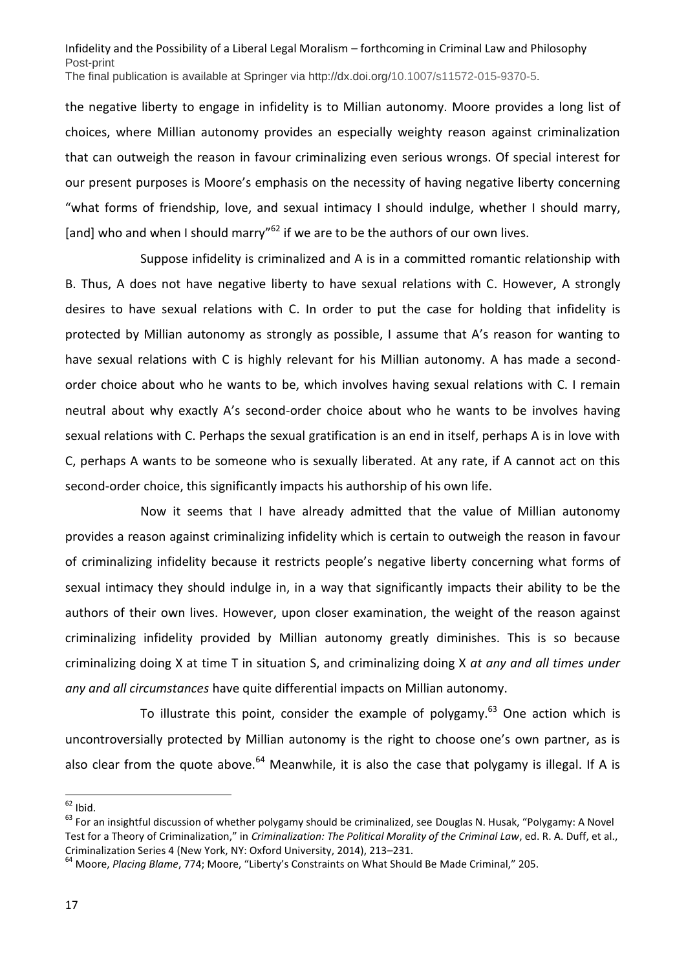the negative liberty to engage in infidelity is to Millian autonomy. Moore provides a long list of choices, where Millian autonomy provides an especially weighty reason against criminalization that can outweigh the reason in favour criminalizing even serious wrongs. Of special interest for our present purposes is Moore's emphasis on the necessity of having negative liberty concerning "what forms of friendship, love, and sexual intimacy I should indulge, whether I should marry, [and] who and when I should marry<sup>"62</sup> if we are to be the authors of our own lives.

Suppose infidelity is criminalized and A is in a committed romantic relationship with B. Thus, A does not have negative liberty to have sexual relations with C. However, A strongly desires to have sexual relations with C. In order to put the case for holding that infidelity is protected by Millian autonomy as strongly as possible, I assume that A's reason for wanting to have sexual relations with C is highly relevant for his Millian autonomy. A has made a secondorder choice about who he wants to be, which involves having sexual relations with C. I remain neutral about why exactly A's second-order choice about who he wants to be involves having sexual relations with C. Perhaps the sexual gratification is an end in itself, perhaps A is in love with C, perhaps A wants to be someone who is sexually liberated. At any rate, if A cannot act on this second-order choice, this significantly impacts his authorship of his own life.

Now it seems that I have already admitted that the value of Millian autonomy provides a reason against criminalizing infidelity which is certain to outweigh the reason in favour of criminalizing infidelity because it restricts people's negative liberty concerning what forms of sexual intimacy they should indulge in, in a way that significantly impacts their ability to be the authors of their own lives. However, upon closer examination, the weight of the reason against criminalizing infidelity provided by Millian autonomy greatly diminishes. This is so because criminalizing doing X at time T in situation S, and criminalizing doing X *at any and all times under any and all circumstances* have quite differential impacts on Millian autonomy.

To illustrate this point, consider the example of polygamy.<sup>63</sup> One action which is uncontroversially protected by Millian autonomy is the right to choose one's own partner, as is also clear from the quote above.<sup>64</sup> Meanwhile, it is also the case that polygamy is illegal. If A is

**<sup>.</sup>**  $62$  Ibid.

<sup>&</sup>lt;sup>63</sup> For an insightful discussion of whether polygamy should be criminalized, see Douglas N. Husak, "Polygamy: A Novel Test for a Theory of Criminalization," in *Criminalization: The Political Morality of the Criminal Law*, ed. R. A. Duff, et al., Criminalization Series 4 (New York, NY: Oxford University, 2014), 213–231.

<sup>64</sup> Moore, *Placing Blame*, 774; Moore, "Liberty's Constraints on What Should Be Made Criminal," 205.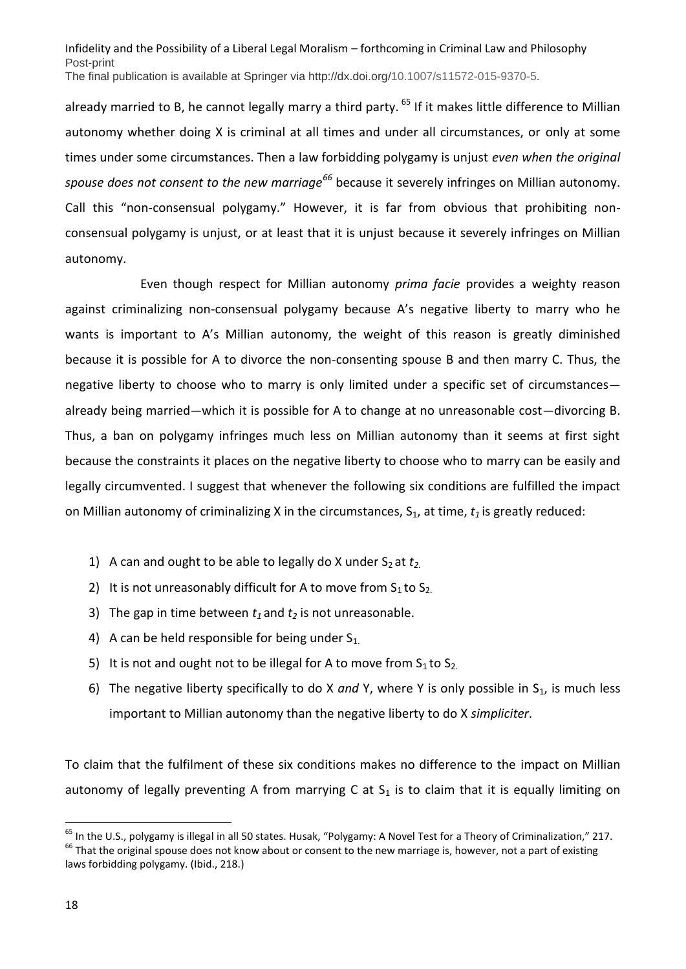already married to B, he cannot legally marry a third party. <sup>65</sup> If it makes little difference to Millian autonomy whether doing X is criminal at all times and under all circumstances, or only at some times under some circumstances. Then a law forbidding polygamy is unjust *even when the original spouse does not consent to the new marriage<sup>66</sup>* because it severely infringes on Millian autonomy. Call this "non-consensual polygamy." However, it is far from obvious that prohibiting nonconsensual polygamy is unjust, or at least that it is unjust because it severely infringes on Millian autonomy.

Even though respect for Millian autonomy *prima facie* provides a weighty reason against criminalizing non-consensual polygamy because A's negative liberty to marry who he wants is important to A's Millian autonomy, the weight of this reason is greatly diminished because it is possible for A to divorce the non-consenting spouse B and then marry C. Thus, the negative liberty to choose who to marry is only limited under a specific set of circumstances already being married—which it is possible for A to change at no unreasonable cost—divorcing B. Thus, a ban on polygamy infringes much less on Millian autonomy than it seems at first sight because the constraints it places on the negative liberty to choose who to marry can be easily and legally circumvented. I suggest that whenever the following six conditions are fulfilled the impact on Millian autonomy of criminalizing X in the circumstances, S<sub>1</sub>, at time,  $t_1$  is greatly reduced:

- 1) A can and ought to be able to legally do X under  $S_2$  at  $t_2$ .
- 2) It is not unreasonably difficult for A to move from  $S_1$  to  $S_2$ .
- 3) The gap in time between  $t_1$  and  $t_2$  is not unreasonable.
- 4) A can be held responsible for being under  $S_1$ .
- 5) It is not and ought not to be illegal for A to move from  $S_1$  to  $S_2$ .
- 6) The negative liberty specifically to do X and Y, where Y is only possible in S<sub>1</sub>, is much less important to Millian autonomy than the negative liberty to do X *simpliciter*.

To claim that the fulfilment of these six conditions makes no difference to the impact on Millian autonomy of legally preventing A from marrying C at  $S_1$  is to claim that it is equally limiting on

<sup>&</sup>lt;sup>65</sup> In the U.S., polygamy is illegal in all 50 states. Husak, "Polygamy: A Novel Test for a Theory of Criminalization," 217.  $66$  That the original spouse does not know about or consent to the new marriage is, however, not a part of existing laws forbidding polygamy. (Ibid., 218.)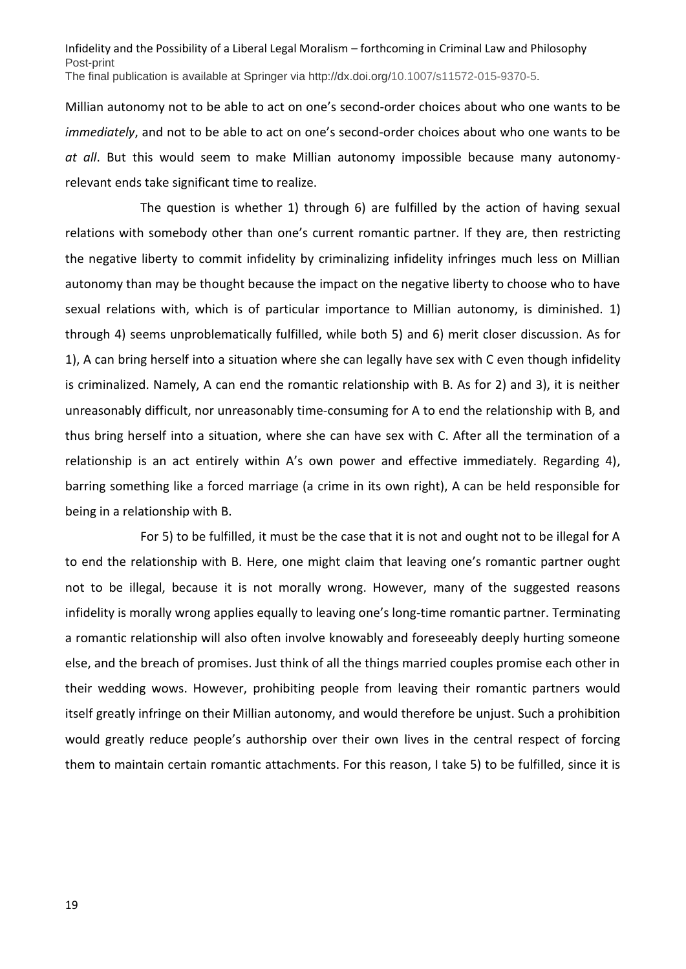Millian autonomy not to be able to act on one's second-order choices about who one wants to be *immediately*, and not to be able to act on one's second-order choices about who one wants to be *at all*. But this would seem to make Millian autonomy impossible because many autonomyrelevant ends take significant time to realize.

The question is whether 1) through 6) are fulfilled by the action of having sexual relations with somebody other than one's current romantic partner. If they are, then restricting the negative liberty to commit infidelity by criminalizing infidelity infringes much less on Millian autonomy than may be thought because the impact on the negative liberty to choose who to have sexual relations with, which is of particular importance to Millian autonomy, is diminished. 1) through 4) seems unproblematically fulfilled, while both 5) and 6) merit closer discussion. As for 1), A can bring herself into a situation where she can legally have sex with C even though infidelity is criminalized. Namely, A can end the romantic relationship with B. As for 2) and 3), it is neither unreasonably difficult, nor unreasonably time-consuming for A to end the relationship with B, and thus bring herself into a situation, where she can have sex with C. After all the termination of a relationship is an act entirely within A's own power and effective immediately. Regarding 4), barring something like a forced marriage (a crime in its own right), A can be held responsible for being in a relationship with B.

For 5) to be fulfilled, it must be the case that it is not and ought not to be illegal for A to end the relationship with B. Here, one might claim that leaving one's romantic partner ought not to be illegal, because it is not morally wrong. However, many of the suggested reasons infidelity is morally wrong applies equally to leaving one's long-time romantic partner. Terminating a romantic relationship will also often involve knowably and foreseeably deeply hurting someone else, and the breach of promises. Just think of all the things married couples promise each other in their wedding wows. However, prohibiting people from leaving their romantic partners would itself greatly infringe on their Millian autonomy, and would therefore be unjust. Such a prohibition would greatly reduce people's authorship over their own lives in the central respect of forcing them to maintain certain romantic attachments. For this reason, I take 5) to be fulfilled, since it is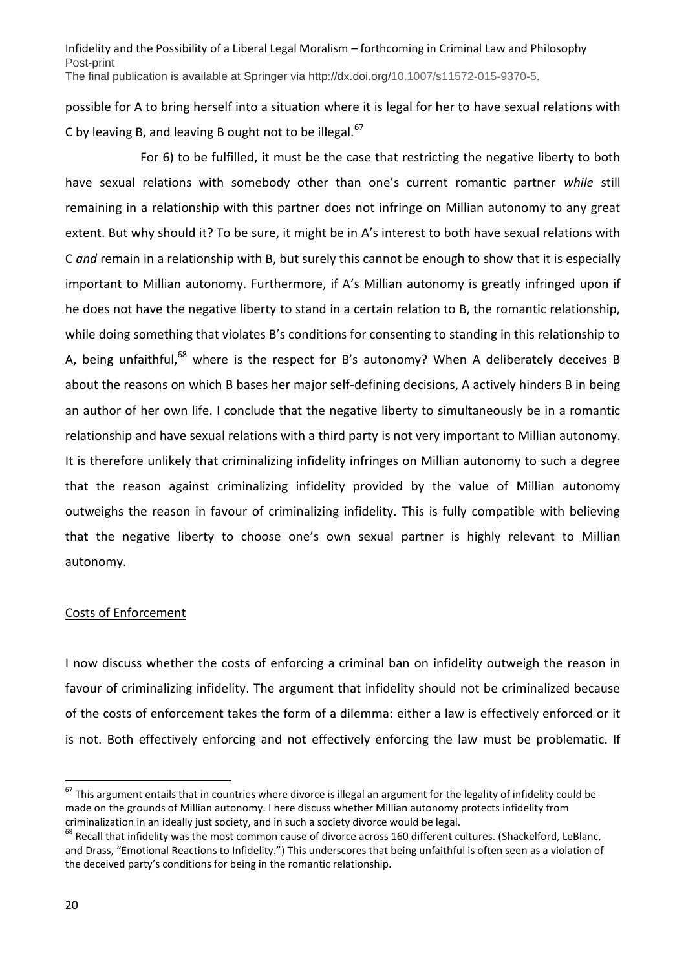possible for A to bring herself into a situation where it is legal for her to have sexual relations with C by leaving B, and leaving B ought not to be illegal.<sup>67</sup>

For 6) to be fulfilled, it must be the case that restricting the negative liberty to both have sexual relations with somebody other than one's current romantic partner *while* still remaining in a relationship with this partner does not infringe on Millian autonomy to any great extent. But why should it? To be sure, it might be in A's interest to both have sexual relations with C *and* remain in a relationship with B, but surely this cannot be enough to show that it is especially important to Millian autonomy. Furthermore, if A's Millian autonomy is greatly infringed upon if he does not have the negative liberty to stand in a certain relation to B, the romantic relationship, while doing something that violates B's conditions for consenting to standing in this relationship to A, being unfaithful,<sup>68</sup> where is the respect for B's autonomy? When A deliberately deceives B about the reasons on which B bases her major self-defining decisions, A actively hinders B in being an author of her own life. I conclude that the negative liberty to simultaneously be in a romantic relationship and have sexual relations with a third party is not very important to Millian autonomy. It is therefore unlikely that criminalizing infidelity infringes on Millian autonomy to such a degree that the reason against criminalizing infidelity provided by the value of Millian autonomy outweighs the reason in favour of criminalizing infidelity. This is fully compatible with believing that the negative liberty to choose one's own sexual partner is highly relevant to Millian autonomy.

# Costs of Enforcement

I now discuss whether the costs of enforcing a criminal ban on infidelity outweigh the reason in favour of criminalizing infidelity. The argument that infidelity should not be criminalized because of the costs of enforcement takes the form of a dilemma: either a law is effectively enforced or it is not. Both effectively enforcing and not effectively enforcing the law must be problematic. If

 $67$  This argument entails that in countries where divorce is illegal an argument for the legality of infidelity could be made on the grounds of Millian autonomy. I here discuss whether Millian autonomy protects infidelity from criminalization in an ideally just society, and in such a society divorce would be legal.

<sup>&</sup>lt;sup>68</sup> Recall that infidelity was the most common cause of divorce across 160 different cultures. (Shackelford, LeBlanc, and Drass, "Emotional Reactions to Infidelity.") This underscores that being unfaithful is often seen as a violation of the deceived party's conditions for being in the romantic relationship.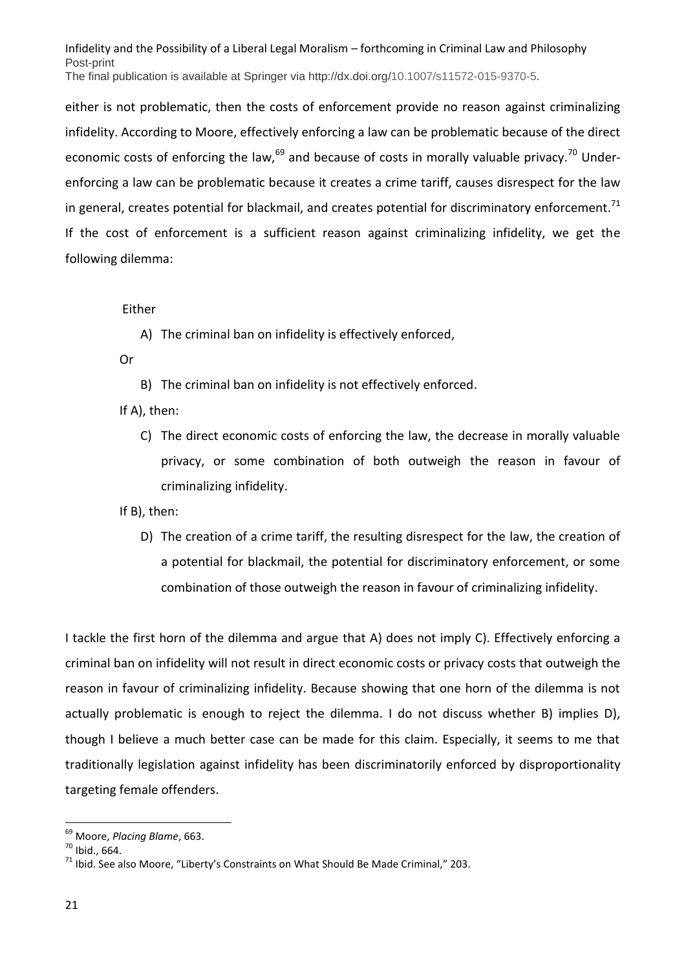either is not problematic, then the costs of enforcement provide no reason against criminalizing infidelity. According to Moore, effectively enforcing a law can be problematic because of the direct economic costs of enforcing the law, $^{69}$  and because of costs in morally valuable privacy.<sup>70</sup> Underenforcing a law can be problematic because it creates a crime tariff, causes disrespect for the law in general, creates potential for blackmail, and creates potential for discriminatory enforcement.<sup>71</sup> If the cost of enforcement is a sufficient reason against criminalizing infidelity, we get the following dilemma:

# Either

A) The criminal ban on infidelity is effectively enforced,

Or

- B) The criminal ban on infidelity is not effectively enforced.
- If A), then:
	- C) The direct economic costs of enforcing the law, the decrease in morally valuable privacy, or some combination of both outweigh the reason in favour of criminalizing infidelity.

If B), then:

D) The creation of a crime tariff, the resulting disrespect for the law, the creation of a potential for blackmail, the potential for discriminatory enforcement, or some combination of those outweigh the reason in favour of criminalizing infidelity.

I tackle the first horn of the dilemma and argue that A) does not imply C). Effectively enforcing a criminal ban on infidelity will not result in direct economic costs or privacy costs that outweigh the reason in favour of criminalizing infidelity. Because showing that one horn of the dilemma is not actually problematic is enough to reject the dilemma. I do not discuss whether B) implies D), though I believe a much better case can be made for this claim. Especially, it seems to me that traditionally legislation against infidelity has been discriminatorily enforced by disproportionality targeting female offenders.

<sup>69</sup> Moore, *Placing Blame*, 663.

<sup>70</sup> Ibid., 664.

 $71$  Ibid. See also Moore, "Liberty's Constraints on What Should Be Made Criminal," 203.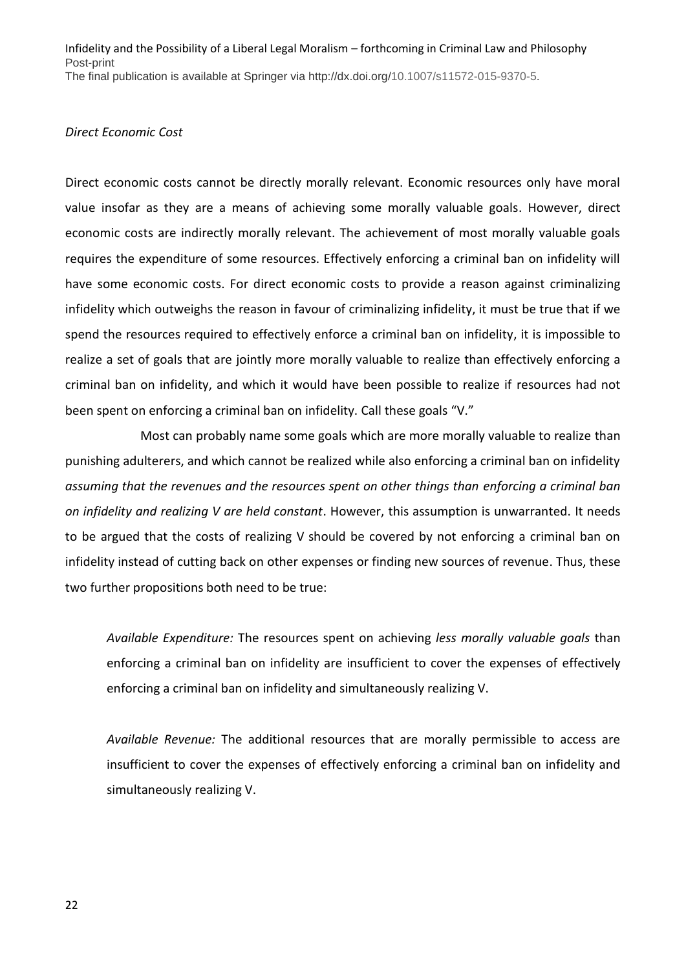### *Direct Economic Cost*

Direct economic costs cannot be directly morally relevant. Economic resources only have moral value insofar as they are a means of achieving some morally valuable goals. However, direct economic costs are indirectly morally relevant. The achievement of most morally valuable goals requires the expenditure of some resources. Effectively enforcing a criminal ban on infidelity will have some economic costs. For direct economic costs to provide a reason against criminalizing infidelity which outweighs the reason in favour of criminalizing infidelity, it must be true that if we spend the resources required to effectively enforce a criminal ban on infidelity, it is impossible to realize a set of goals that are jointly more morally valuable to realize than effectively enforcing a criminal ban on infidelity, and which it would have been possible to realize if resources had not been spent on enforcing a criminal ban on infidelity. Call these goals "V."

Most can probably name some goals which are more morally valuable to realize than punishing adulterers, and which cannot be realized while also enforcing a criminal ban on infidelity *assuming that the revenues and the resources spent on other things than enforcing a criminal ban on infidelity and realizing V are held constant*. However, this assumption is unwarranted. It needs to be argued that the costs of realizing V should be covered by not enforcing a criminal ban on infidelity instead of cutting back on other expenses or finding new sources of revenue. Thus, these two further propositions both need to be true:

*Available Expenditure:* The resources spent on achieving *less morally valuable goals* than enforcing a criminal ban on infidelity are insufficient to cover the expenses of effectively enforcing a criminal ban on infidelity and simultaneously realizing V.

*Available Revenue:* The additional resources that are morally permissible to access are insufficient to cover the expenses of effectively enforcing a criminal ban on infidelity and simultaneously realizing V.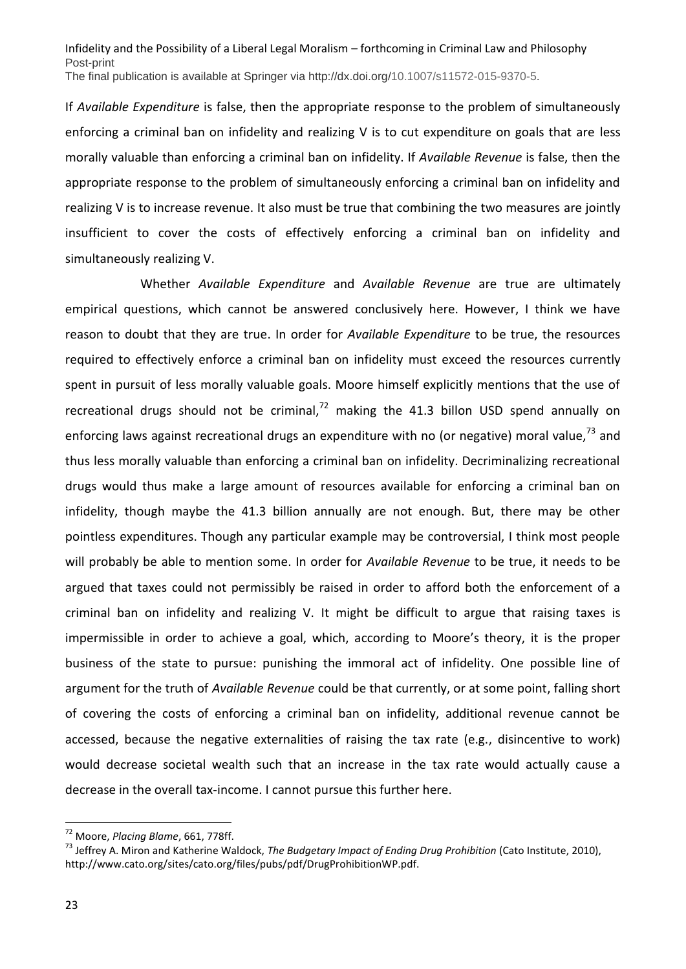If *Available Expenditure* is false, then the appropriate response to the problem of simultaneously enforcing a criminal ban on infidelity and realizing V is to cut expenditure on goals that are less morally valuable than enforcing a criminal ban on infidelity. If *Available Revenue* is false, then the appropriate response to the problem of simultaneously enforcing a criminal ban on infidelity and realizing V is to increase revenue. It also must be true that combining the two measures are jointly insufficient to cover the costs of effectively enforcing a criminal ban on infidelity and simultaneously realizing V.

Whether *Available Expenditure* and *Available Revenue* are true are ultimately empirical questions, which cannot be answered conclusively here. However, I think we have reason to doubt that they are true. In order for *Available Expenditure* to be true, the resources required to effectively enforce a criminal ban on infidelity must exceed the resources currently spent in pursuit of less morally valuable goals. Moore himself explicitly mentions that the use of recreational drugs should not be criminal.<sup>72</sup> making the 41.3 billon USD spend annually on enforcing laws against recreational drugs an expenditure with no (or negative) moral value,  $73$  and thus less morally valuable than enforcing a criminal ban on infidelity. Decriminalizing recreational drugs would thus make a large amount of resources available for enforcing a criminal ban on infidelity, though maybe the 41.3 billion annually are not enough. But, there may be other pointless expenditures. Though any particular example may be controversial, I think most people will probably be able to mention some. In order for *Available Revenue* to be true, it needs to be argued that taxes could not permissibly be raised in order to afford both the enforcement of a criminal ban on infidelity and realizing V. It might be difficult to argue that raising taxes is impermissible in order to achieve a goal, which, according to Moore's theory, it is the proper business of the state to pursue: punishing the immoral act of infidelity. One possible line of argument for the truth of *Available Revenue* could be that currently, or at some point, falling short of covering the costs of enforcing a criminal ban on infidelity, additional revenue cannot be accessed, because the negative externalities of raising the tax rate (e.g., disincentive to work) would decrease societal wealth such that an increase in the tax rate would actually cause a decrease in the overall tax-income. I cannot pursue this further here.

<sup>72</sup> Moore, *Placing Blame*, 661, 778ff.

<sup>73</sup> Jeffrey A. Miron and Katherine Waldock, *The Budgetary Impact of Ending Drug Prohibition* (Cato Institute, 2010), http://www.cato.org/sites/cato.org/files/pubs/pdf/DrugProhibitionWP.pdf.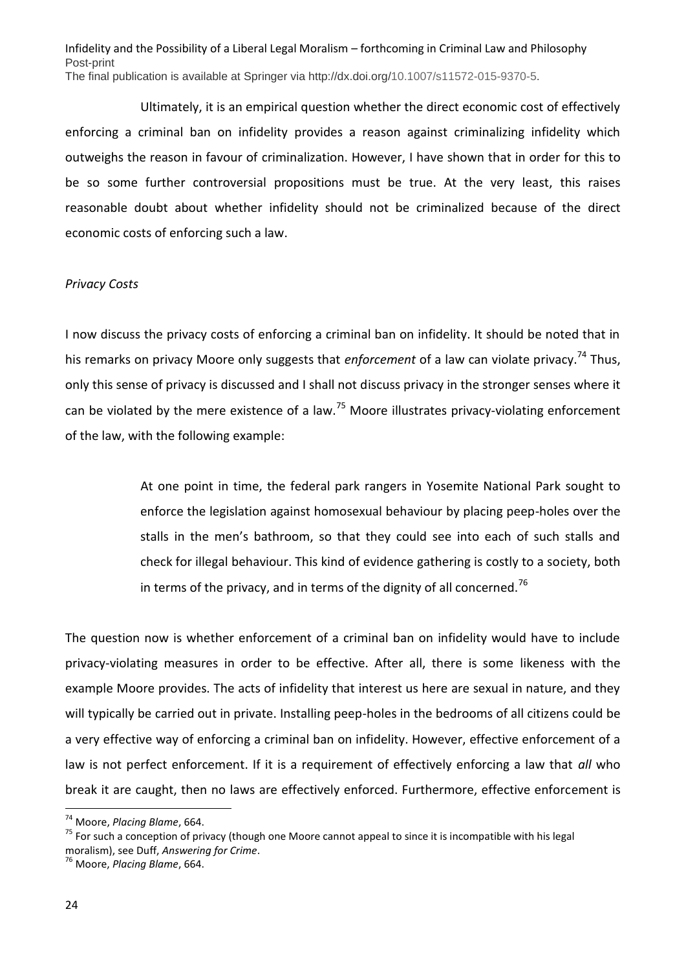Ultimately, it is an empirical question whether the direct economic cost of effectively enforcing a criminal ban on infidelity provides a reason against criminalizing infidelity which outweighs the reason in favour of criminalization. However, I have shown that in order for this to be so some further controversial propositions must be true. At the very least, this raises reasonable doubt about whether infidelity should not be criminalized because of the direct economic costs of enforcing such a law.

### *Privacy Costs*

I now discuss the privacy costs of enforcing a criminal ban on infidelity. It should be noted that in his remarks on privacy Moore only suggests that *enforcement* of a law can violate privacy.<sup>74</sup> Thus, only this sense of privacy is discussed and I shall not discuss privacy in the stronger senses where it can be violated by the mere existence of a law.<sup>75</sup> Moore illustrates privacy-violating enforcement of the law, with the following example:

> At one point in time, the federal park rangers in Yosemite National Park sought to enforce the legislation against homosexual behaviour by placing peep-holes over the stalls in the men's bathroom, so that they could see into each of such stalls and check for illegal behaviour. This kind of evidence gathering is costly to a society, both in terms of the privacy, and in terms of the dignity of all concerned.<sup>76</sup>

The question now is whether enforcement of a criminal ban on infidelity would have to include privacy-violating measures in order to be effective. After all, there is some likeness with the example Moore provides. The acts of infidelity that interest us here are sexual in nature, and they will typically be carried out in private. Installing peep-holes in the bedrooms of all citizens could be a very effective way of enforcing a criminal ban on infidelity. However, effective enforcement of a law is not perfect enforcement. If it is a requirement of effectively enforcing a law that *all* who break it are caught, then no laws are effectively enforced. Furthermore, effective enforcement is

<sup>74</sup> Moore, *Placing Blame*, 664.

<sup>&</sup>lt;sup>75</sup> For such a conception of privacy (though one Moore cannot appeal to since it is incompatible with his legal moralism), see Duff, *Answering for Crime*.

<sup>76</sup> Moore, *Placing Blame*, 664.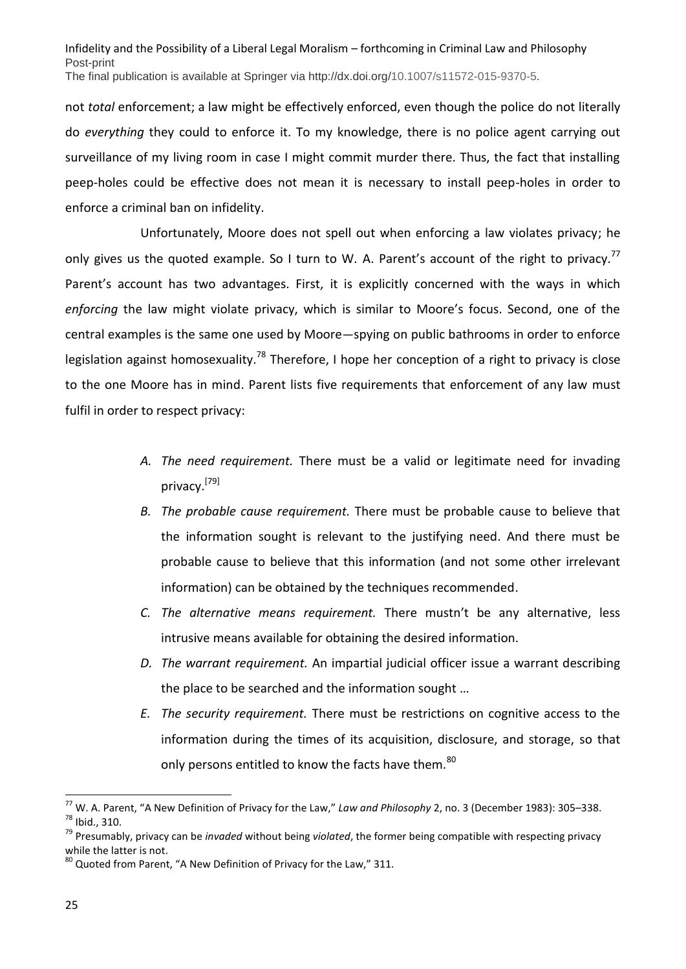not *total* enforcement; a law might be effectively enforced, even though the police do not literally do *everything* they could to enforce it. To my knowledge, there is no police agent carrying out surveillance of my living room in case I might commit murder there. Thus, the fact that installing peep-holes could be effective does not mean it is necessary to install peep-holes in order to enforce a criminal ban on infidelity.

Unfortunately, Moore does not spell out when enforcing a law violates privacy; he only gives us the quoted example. So I turn to W. A. Parent's account of the right to privacy.<sup>77</sup> Parent's account has two advantages. First, it is explicitly concerned with the ways in which *enforcing* the law might violate privacy, which is similar to Moore's focus. Second, one of the central examples is the same one used by Moore—spying on public bathrooms in order to enforce legislation against homosexuality.<sup>78</sup> Therefore, I hope her conception of a right to privacy is close to the one Moore has in mind. Parent lists five requirements that enforcement of any law must fulfil in order to respect privacy:

- *A. The need requirement.* There must be a valid or legitimate need for invading privacy. [79]
- *B. The probable cause requirement.* There must be probable cause to believe that the information sought is relevant to the justifying need. And there must be probable cause to believe that this information (and not some other irrelevant information) can be obtained by the techniques recommended.
- *C. The alternative means requirement.* There mustn't be any alternative, less intrusive means available for obtaining the desired information.
- *D. The warrant requirement.* An impartial judicial officer issue a warrant describing the place to be searched and the information sought …
- *E. The security requirement.* There must be restrictions on cognitive access to the information during the times of its acquisition, disclosure, and storage, so that only persons entitled to know the facts have them.<sup>80</sup>

<sup>77</sup> W. A. Parent, "A New Definition of Privacy for the Law," *Law and Philosophy* 2, no. 3 (December 1983): 305–338. <sup>78</sup> Ibid., 310.

<sup>79</sup> Presumably, privacy can be *invaded* without being *violated*, the former being compatible with respecting privacy while the latter is not.

 $80$  Quoted from Parent, "A New Definition of Privacy for the Law," 311.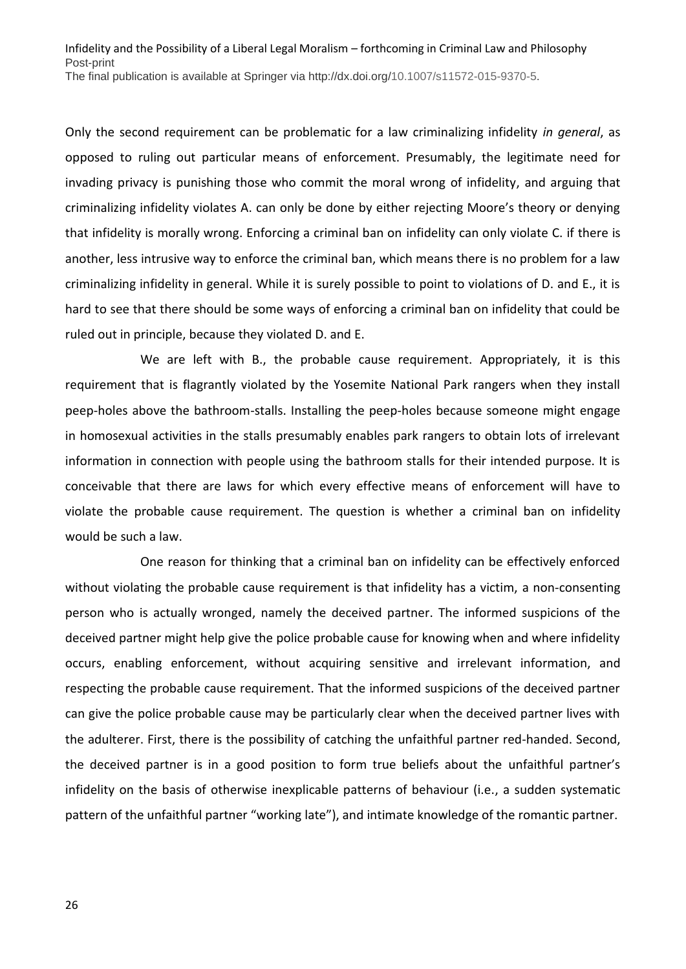Only the second requirement can be problematic for a law criminalizing infidelity *in general*, as opposed to ruling out particular means of enforcement. Presumably, the legitimate need for invading privacy is punishing those who commit the moral wrong of infidelity, and arguing that criminalizing infidelity violates A. can only be done by either rejecting Moore's theory or denying that infidelity is morally wrong. Enforcing a criminal ban on infidelity can only violate C. if there is another, less intrusive way to enforce the criminal ban, which means there is no problem for a law criminalizing infidelity in general. While it is surely possible to point to violations of D. and E., it is hard to see that there should be some ways of enforcing a criminal ban on infidelity that could be ruled out in principle, because they violated D. and E.

We are left with B., the probable cause requirement. Appropriately, it is this requirement that is flagrantly violated by the Yosemite National Park rangers when they install peep-holes above the bathroom-stalls. Installing the peep-holes because someone might engage in homosexual activities in the stalls presumably enables park rangers to obtain lots of irrelevant information in connection with people using the bathroom stalls for their intended purpose. It is conceivable that there are laws for which every effective means of enforcement will have to violate the probable cause requirement. The question is whether a criminal ban on infidelity would be such a law.

One reason for thinking that a criminal ban on infidelity can be effectively enforced without violating the probable cause requirement is that infidelity has a victim, a non-consenting person who is actually wronged, namely the deceived partner. The informed suspicions of the deceived partner might help give the police probable cause for knowing when and where infidelity occurs, enabling enforcement, without acquiring sensitive and irrelevant information, and respecting the probable cause requirement. That the informed suspicions of the deceived partner can give the police probable cause may be particularly clear when the deceived partner lives with the adulterer. First, there is the possibility of catching the unfaithful partner red-handed. Second, the deceived partner is in a good position to form true beliefs about the unfaithful partner's infidelity on the basis of otherwise inexplicable patterns of behaviour (i.e., a sudden systematic pattern of the unfaithful partner "working late"), and intimate knowledge of the romantic partner.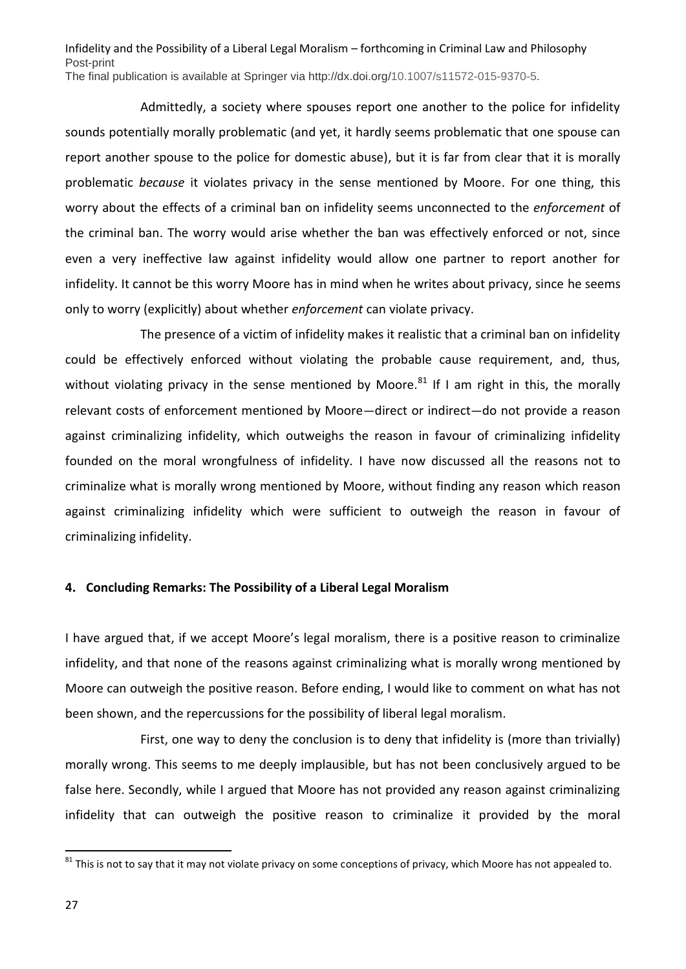Admittedly, a society where spouses report one another to the police for infidelity sounds potentially morally problematic (and yet, it hardly seems problematic that one spouse can report another spouse to the police for domestic abuse), but it is far from clear that it is morally problematic *because* it violates privacy in the sense mentioned by Moore. For one thing, this worry about the effects of a criminal ban on infidelity seems unconnected to the *enforcement* of the criminal ban. The worry would arise whether the ban was effectively enforced or not, since even a very ineffective law against infidelity would allow one partner to report another for infidelity. It cannot be this worry Moore has in mind when he writes about privacy, since he seems only to worry (explicitly) about whether *enforcement* can violate privacy.

The presence of a victim of infidelity makes it realistic that a criminal ban on infidelity could be effectively enforced without violating the probable cause requirement, and, thus, without violating privacy in the sense mentioned by Moore.<sup>81</sup> If I am right in this, the morally relevant costs of enforcement mentioned by Moore—direct or indirect—do not provide a reason against criminalizing infidelity, which outweighs the reason in favour of criminalizing infidelity founded on the moral wrongfulness of infidelity. I have now discussed all the reasons not to criminalize what is morally wrong mentioned by Moore, without finding any reason which reason against criminalizing infidelity which were sufficient to outweigh the reason in favour of criminalizing infidelity.

### **4. Concluding Remarks: The Possibility of a Liberal Legal Moralism**

I have argued that, if we accept Moore's legal moralism, there is a positive reason to criminalize infidelity, and that none of the reasons against criminalizing what is morally wrong mentioned by Moore can outweigh the positive reason. Before ending, I would like to comment on what has not been shown, and the repercussions for the possibility of liberal legal moralism.

First, one way to deny the conclusion is to deny that infidelity is (more than trivially) morally wrong. This seems to me deeply implausible, but has not been conclusively argued to be false here. Secondly, while I argued that Moore has not provided any reason against criminalizing infidelity that can outweigh the positive reason to criminalize it provided by the moral

 $81$  This is not to say that it may not violate privacy on some conceptions of privacy, which Moore has not appealed to.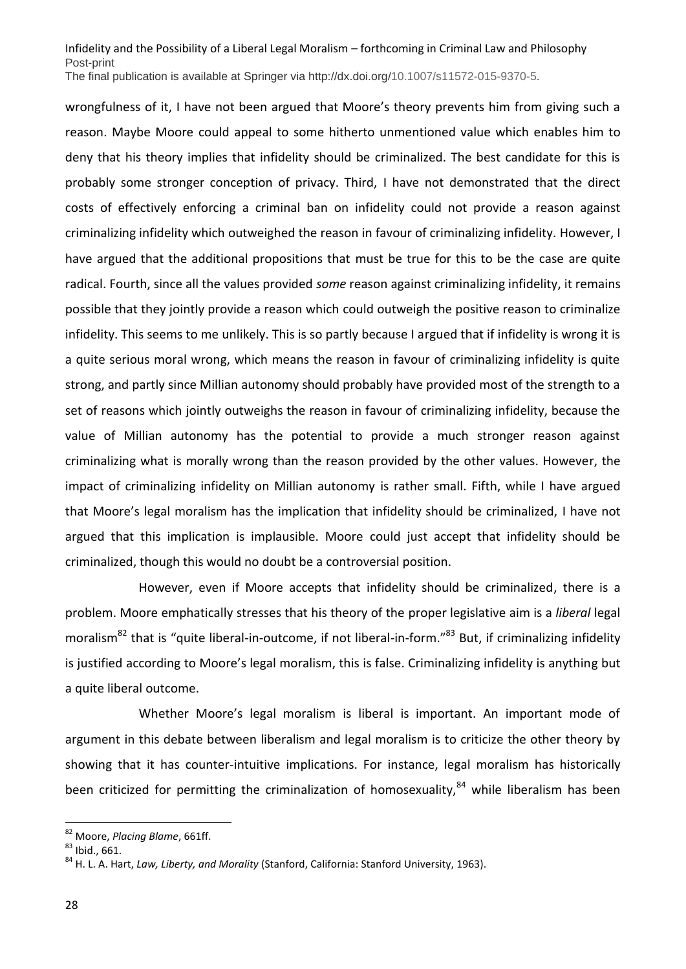wrongfulness of it, I have not been argued that Moore's theory prevents him from giving such a reason. Maybe Moore could appeal to some hitherto unmentioned value which enables him to deny that his theory implies that infidelity should be criminalized. The best candidate for this is probably some stronger conception of privacy. Third, I have not demonstrated that the direct costs of effectively enforcing a criminal ban on infidelity could not provide a reason against criminalizing infidelity which outweighed the reason in favour of criminalizing infidelity. However, I have argued that the additional propositions that must be true for this to be the case are quite radical. Fourth, since all the values provided *some* reason against criminalizing infidelity, it remains possible that they jointly provide a reason which could outweigh the positive reason to criminalize infidelity. This seems to me unlikely. This is so partly because I argued that if infidelity is wrong it is a quite serious moral wrong, which means the reason in favour of criminalizing infidelity is quite strong, and partly since Millian autonomy should probably have provided most of the strength to a set of reasons which jointly outweighs the reason in favour of criminalizing infidelity, because the value of Millian autonomy has the potential to provide a much stronger reason against criminalizing what is morally wrong than the reason provided by the other values. However, the impact of criminalizing infidelity on Millian autonomy is rather small. Fifth, while I have argued that Moore's legal moralism has the implication that infidelity should be criminalized, I have not argued that this implication is implausible. Moore could just accept that infidelity should be criminalized, though this would no doubt be a controversial position.

However, even if Moore accepts that infidelity should be criminalized, there is a problem. Moore emphatically stresses that his theory of the proper legislative aim is a *liberal* legal moralism<sup>82</sup> that is "quite liberal-in-outcome, if not liberal-in-form."<sup>83</sup> But, if criminalizing infidelity is justified according to Moore's legal moralism, this is false. Criminalizing infidelity is anything but a quite liberal outcome.

Whether Moore's legal moralism is liberal is important. An important mode of argument in this debate between liberalism and legal moralism is to criticize the other theory by showing that it has counter-intuitive implications. For instance, legal moralism has historically been criticized for permitting the criminalization of homosexuality,<sup>84</sup> while liberalism has been

<sup>82</sup> Moore, *Placing Blame*, 661ff.

<sup>83</sup> Ibid., 661.

<sup>84</sup> H. L. A. Hart, *Law, Liberty, and Morality* (Stanford, California: Stanford University, 1963).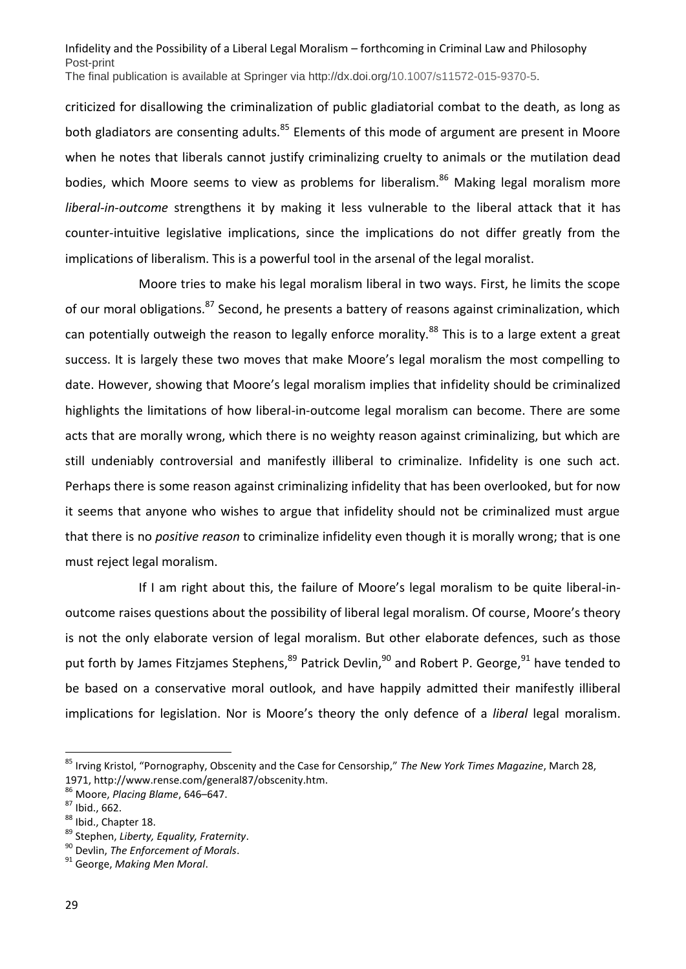criticized for disallowing the criminalization of public gladiatorial combat to the death, as long as both gladiators are consenting adults.<sup>85</sup> Elements of this mode of argument are present in Moore when he notes that liberals cannot justify criminalizing cruelty to animals or the mutilation dead bodies, which Moore seems to view as problems for liberalism.<sup>86</sup> Making legal moralism more *liberal-in-outcome* strengthens it by making it less vulnerable to the liberal attack that it has counter-intuitive legislative implications, since the implications do not differ greatly from the implications of liberalism. This is a powerful tool in the arsenal of the legal moralist.

Moore tries to make his legal moralism liberal in two ways. First, he limits the scope of our moral obligations.<sup>87</sup> Second, he presents a battery of reasons against criminalization, which can potentially outweigh the reason to legally enforce morality.<sup>88</sup> This is to a large extent a great success. It is largely these two moves that make Moore's legal moralism the most compelling to date. However, showing that Moore's legal moralism implies that infidelity should be criminalized highlights the limitations of how liberal-in-outcome legal moralism can become. There are some acts that are morally wrong, which there is no weighty reason against criminalizing, but which are still undeniably controversial and manifestly illiberal to criminalize. Infidelity is one such act. Perhaps there is some reason against criminalizing infidelity that has been overlooked, but for now it seems that anyone who wishes to argue that infidelity should not be criminalized must argue that there is no *positive reason* to criminalize infidelity even though it is morally wrong; that is one must reject legal moralism.

If I am right about this, the failure of Moore's legal moralism to be quite liberal-inoutcome raises questions about the possibility of liberal legal moralism. Of course, Moore's theory is not the only elaborate version of legal moralism. But other elaborate defences, such as those put forth by James Fitzjames Stephens, <sup>89</sup> Patrick Devlin, <sup>90</sup> and Robert P. George, <sup>91</sup> have tended to be based on a conservative moral outlook, and have happily admitted their manifestly illiberal implications for legislation. Nor is Moore's theory the only defence of a *liberal* legal moralism.

<sup>85</sup> Irving Kristol, "Pornography, Obscenity and the Case for Censorship," *The New York Times Magazine*, March 28, 1971, http://www.rense.com/general87/obscenity.htm.

<sup>86</sup> Moore, *Placing Blame*, 646–647.

 $87$  Ibid., 662.

<sup>88</sup> Ibid., Chapter 18.

<sup>89</sup> Stephen, *Liberty, Equality, Fraternity*.

<sup>90</sup> Devlin, *The Enforcement of Morals*.

<sup>91</sup> George, *Making Men Moral*.